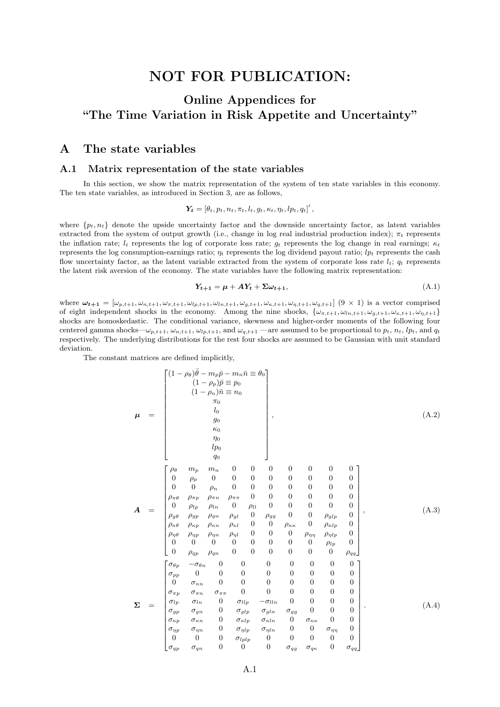## NOT FOR PUBLICATION:

## Online Appendices for "The Time Variation in Risk Appetite and Uncertainty"

### A The state variables

#### A.1 Matrix representation of the state variables

In this section, we show the matrix representation of the system of ten state variables in this economy. The ten state variables, as introduced in Section 3, are as follows,

$$
\boldsymbol{Y_t} = \left[\theta_t, p_t, n_t, \pi_t, l_t, g_t, \kappa_t, \eta_t, lp_t, q_t\right]'
$$

where  $\{p_t, n_t\}$  denote the upside uncertainty factor and the downside uncertainty factor, as latent variables extracted from the system of output growth (i.e., change in log real industrial production index);  $\pi_t$  represents the inflation rate;  $l_t$  represents the log of corporate loss rate;  $q_t$  represents the log change in real earnings;  $\kappa_t$ represents the log consumption-earnings ratio;  $\eta_t$  represents the log dividend payout ratio;  $l p_t$  represents the cash flow uncertainty factor, as the latent variable extracted from the system of corporate loss rate  $l_t$ ;  $q_t$  represents the latent risk aversion of the economy. The state variables have the following matrix representation:

$$
Y_{t+1} = \mu + AY_t + \Sigma \omega_{t+1}, \tag{A.1}
$$

where  $\omega_{t+1} = [\omega_{p,t+1}, \omega_{n,t+1}, \omega_{n,t+1}, \omega_{lp,t+1}, \omega_{ln,t+1}, \omega_{g,t+1}, \omega_{g,t+1}, \omega_{q,t+1}]$  (9 × 1) is a vector comprised of eight independent shocks in the economy. Among the nine shocks,  $\{\omega_{\pi,t+1}, \omega_{\eta,t+1}, \omega_{g,t+1}, \omega_{\kappa,t+1}, \omega_{\eta,t+1}\}$ shocks are homoskedastic. The conditional variance, skewness and higher-order moments of the following four centered gamma shocks— $\omega_{p,t+1}$ ,  $\omega_{n,t+1}$ ,  $\omega_{lp,t+1}$ , and  $\omega_{q,t+1}$  —are assumed to be proportional to  $p_t$ ,  $n_t$ ,  $lp_t$ , and  $q_t$ respectively. The underlying distributions for the rest four shocks are assumed to be Gaussian with unit standard deviation.

The constant matrices are defined implicitly,

µ = (1 − ρθ) ¯θ − mpp¯− mnn¯ ≡ θ<sup>0</sup> (1 − ρp)¯p ≡ p<sup>0</sup> (1 − ρn)¯n ≡ n<sup>0</sup> π0 l0 g0 κ0 η0 lp<sup>0</sup> q0 , (A.2) A = ρ<sup>θ</sup> m<sup>p</sup> m<sup>n</sup> 0 0 0 0 0 0 0 0 ρ<sup>p</sup> 0 0 0 0 0 0 0 0 0 0 ρ<sup>n</sup> 0 0 0 0 0 0 0 ρπθ ρπp ρπn ρππ 0 0 0 0 0 0 0 ρlp ρln 0 ρll 0 0 0 0 0 ρgθ ρgp ρgn ρgl 0 ρgg 0 0 ρglp 0 ρκθ ρκp ρκn ρκl 0 0 ρκκ 0 ρκlp 0 ρηθ ρηp ρηn ρηl 0 0 0 ρηη ρηlp 0 0 0 0 0 0 0 0 0 ρlp 0 0 ρqp ρqn 0 0 0 0 0 0 ρqq , (A.3) Σ = σθp −σθn 0 0 0 0 0 0 0 σpp 0 0 0 0 0 0 0 0 0 σnn 0 0 0 0 0 0 0 σπp σπn σππ 0 0 0 0 0 0 σlp σln 0 σllp −σlln 0 0 0 0 σgp σgn 0 σglp σgln σgg 0 0 0 σκp σκn 0 σκlp σκln 0 σκκ 0 0 σηp σηn 0 σηlp σηln 0 0 σηη 0 0 0 0 σlplp 0 0 0 0 0 σqp σqn 0 0 0 σqg σqκ 0 σqq . (A.4)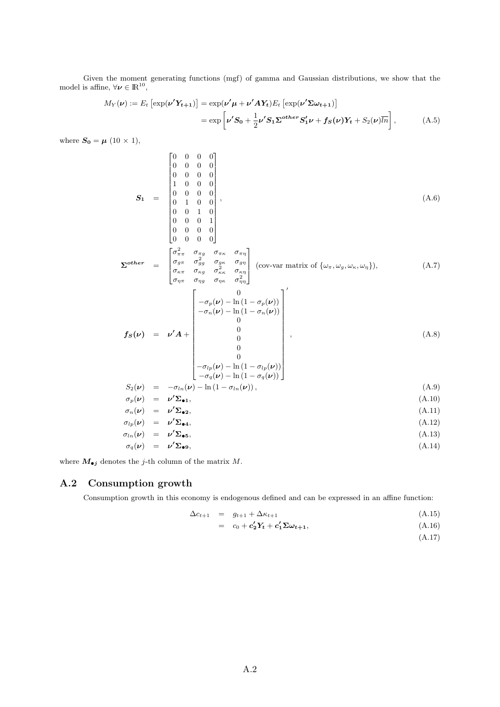Given the moment generating functions (mgf) of gamma and Gaussian distributions, we show that the model is affine,  $\forall \nu \in \mathbb{R}^{10}$ ,

$$
M_Y(\nu) := E_t \left[ \exp(\nu' Y_{t+1}) \right] = \exp(\nu' \mu + \nu' A Y_t) E_t \left[ \exp(\nu' \Sigma \omega_{t+1}) \right]
$$
  
= 
$$
\exp\left[\nu' S_0 + \frac{1}{2} \nu' S_1 \Sigma^{other} S_1' \nu + f_S(\nu) Y_t + S_2(\nu) \overline{\ln} \right],
$$
 (A.5)

where  $S_0 = \mu (10 \times 1)$ ,

$$
\mathbf{S_1} = \begin{bmatrix} 0 & 0 & 0 & 0 \\ 0 & 0 & 0 & 0 \\ 0 & 0 & 0 & 0 \\ 1 & 0 & 0 & 0 \\ 0 & 1 & 0 & 0 \\ 0 & 0 & 1 & 0 \\ 0 & 0 & 0 & 1 \end{bmatrix}, \tag{A.6}
$$

$$
\Sigma^{other} = \begin{bmatrix} 0 & 0 & 0 & 0 \\ 0 & 0 & 0 & 0 \end{bmatrix}
$$
  
\n
$$
\Sigma^{other} = \begin{bmatrix} \sigma_{\pi\pi}^2 & \sigma_{\pi g} & \sigma_{\pi\kappa} & \sigma_{\pi\eta} \\ \sigma_{g\pi} & \sigma_{gg}^2 & \sigma_{g\kappa} & \sigma_{g\eta} \\ \sigma_{\kappa\pi} & \sigma_{\kappa g} & \sigma_{\kappa\kappa}^2 & \sigma_{\kappa\eta} \\ \sigma_{\eta\pi} & \sigma_{\eta g} & \sigma_{\eta\kappa} & \sigma_{\eta\eta}^2 \end{bmatrix}
$$
 (cov-var matrix of  $\{\omega_{\pi}, \omega_g, \omega_{\kappa}, \omega_{\eta}\}$ ), (A.7)

$$
f_S(\nu) = \nu' A + \begin{bmatrix} 0 \\ -\sigma_p(\nu) - \ln(1 - \sigma_p(\nu)) \\ -\sigma_n(\nu) - \ln(1 - \sigma_n(\nu)) \\ 0 \\ 0 \\ 0 \\ 0 \\ -\sigma_{lp}(\nu) - \ln(1 - \sigma_{lp}(\nu)) \\ -\sigma_q(\nu) - \ln(1 - \sigma_q(\nu)) \end{bmatrix},
$$
\n(A.8)

$$
S_2(\nu) = -\sigma_{ln}(\nu) - \ln(1 - \sigma_{ln}(\nu)), \qquad (A.9)
$$

$$
\sigma_p(\nu) = \nu' \Sigma_{\bullet 1}, \tag{A.10}
$$

$$
\sigma_n(\nu) = \nu' \Sigma_{\bullet 2}, \tag{A.11}
$$
\n
$$
\sigma_n(\nu) = \nu' \Sigma_{\bullet 2}, \tag{A.12}
$$

$$
\sigma_{lp}(\nu) = \nu' \Sigma_{\bullet 4}, \tag{A.12}
$$

$$
\sigma_{ln}(\nu) = \nu' \Sigma_{\bullet 5}, \tag{A.13}
$$

$$
\sigma_q(\nu) = \nu' \Sigma_{\bullet 9}, \tag{A.14}
$$

where  $\boldsymbol{M}_{\bullet j}$  denotes the  $j\text{-th}$  column of the matrix  $M.$ 

## A.2 Consumption growth

Consumption growth in this economy is endogenous defined and can be expressed in an affine function:

$$
\Delta c_{t+1} = g_{t+1} + \Delta \kappa_{t+1} \tag{A.15}
$$

$$
= c_0 + c_2' Y_t + c_1' \Sigma \omega_{t+1}, \qquad (A.16)
$$

(A.17)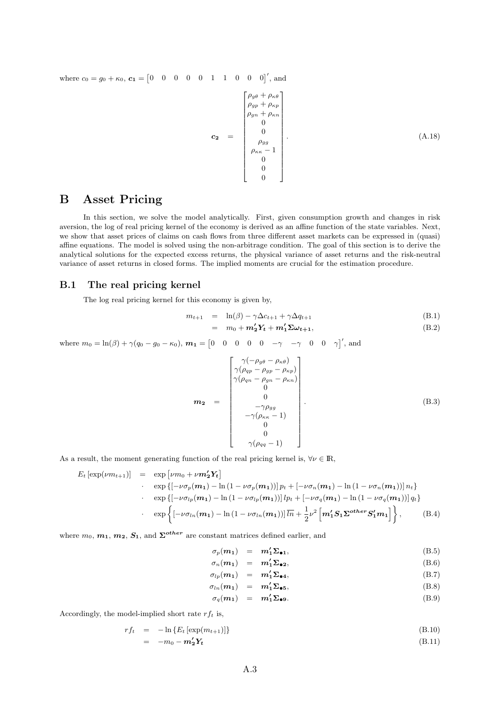where  $c_0 = g_0 + \kappa_0$ ,  $c_1 = \begin{bmatrix} 0 & 0 & 0 & 0 & 1 & 1 & 0 & 0 & 0 \end{bmatrix}'$ , and

$$
\mathbf{c_2} = \begin{bmatrix} \rho_{g\theta} + \rho_{\kappa\theta} \\ \rho_{gp} + \rho_{\kappa p} \\ \rho_{gn} + \rho_{\kappa n} \\ 0 \\ 0 \\ \rho_{gg} \\ \rho_{\kappa\kappa} - 1 \\ 0 \\ 0 \\ 0 \end{bmatrix} . \tag{A.18}
$$

## B Asset Pricing

In this section, we solve the model analytically. First, given consumption growth and changes in risk aversion, the log of real pricing kernel of the economy is derived as an affine function of the state variables. Next, we show that asset prices of claims on cash flows from three different asset markets can be expressed in (quasi) affine equations. The model is solved using the non-arbitrage condition. The goal of this section is to derive the analytical solutions for the expected excess returns, the physical variance of asset returns and the risk-neutral variance of asset returns in closed forms. The implied moments are crucial for the estimation procedure.

#### B.1 The real pricing kernel

The log real pricing kernel for this economy is given by,

$$
m_{t+1} = \ln(\beta) - \gamma \Delta c_{t+1} + \gamma \Delta q_{t+1} \tag{B.1}
$$

$$
= m_0 + \mathbf{m}_2' \mathbf{Y}_t + \mathbf{m}_1' \mathbf{\Sigma} \boldsymbol{\omega}_{t+1}, \tag{B.2}
$$

where  $m_0 = \ln(\beta) + \gamma(q_0 - g_0 - \kappa_0), \, m_1 = \begin{bmatrix} 0 & 0 & 0 & 0 & -\gamma & -\gamma & 0 & 0 & \gamma \end{bmatrix}$ , and

$$
\mathbf{m_2} = \begin{bmatrix} \gamma(-\rho_{g\theta} - \rho_{\kappa\theta}) \\ \gamma(\rho_{qp} - \rho_{gp} - \rho_{\kappa p}) \\ \gamma(\rho_{qn} - \rho_{gn} - \rho_{\kappa n}) \\ 0 \\ 0 \\ 0 \\ -\gamma(\rho_{\kappa\kappa} - 1) \\ 0 \\ 0 \\ \gamma(\rho_{qq} - 1) \end{bmatrix} . \tag{B.3}
$$

As a result, the moment generating function of the real pricing kernel is,  $\forall \nu \in \mathbb{R}$ ,

$$
E_t \left[ \exp(\nu m_{t+1}) \right] = \exp \left[ \nu m_0 + \nu m_2' Y_t \right]
$$
  
\n
$$
\cdot \exp \left\{ \left[ -\nu \sigma_p(m_1) - \ln \left( 1 - \nu \sigma_p(m_1) \right) \right] p_t + \left[ -\nu \sigma_n(m_1) - \ln \left( 1 - \nu \sigma_n(m_1) \right) \right] n_t \right\}
$$
  
\n
$$
\cdot \exp \left\{ \left[ -\nu \sigma_{lp}(m_1) - \ln \left( 1 - \nu \sigma_{lp}(m_1) \right) \right] l p_t + \left[ -\nu \sigma_q(m_1) - \ln \left( 1 - \nu \sigma_q(m_1) \right) \right] q_t \right\}
$$
  
\n
$$
\cdot \exp \left\{ \left[ -\nu \sigma_{ln}(m_1) - \ln \left( 1 - \nu \sigma_{ln}(m_1) \right) \right] \overline{n} + \frac{1}{2} \nu^2 \left[ m_1' S_1 \Sigma^{other} S_1' m_1 \right] \right\}, \qquad (B.4)
$$

where  $m_0, m_1, m_2, S_1$ , and  $\Sigma^{other}$  are constant matrices defined earlier, and

$$
\sigma_p(m_1) = m'_1 \Sigma_{\bullet 1}, \tag{B.5}
$$

$$
\sigma_n(\mathbf{m}_1) = \mathbf{m}_1' \mathbf{\Sigma}_{\bullet 2}, \tag{B.6}
$$

$$
\sigma_{lp}(m_1) = m'_1 \Sigma_{\bullet 4}, \qquad (B.7)
$$

$$
\sigma_{ln}(m_1) = m'_1 \Sigma_{\bullet 5}, \qquad (B.8)
$$

$$
\sigma_q(m_1) = m'_1 \Sigma_{\bullet 9}.
$$
 (B.9)

Accordingly, the model-implied short rate  $rf_t$  is,

$$
rf_t = -\ln\left\{E_t\left[\exp(m_{t+1})\right]\right\} \tag{B.10}
$$

$$
= -m_0 - m_2' Y_t \tag{B.11}
$$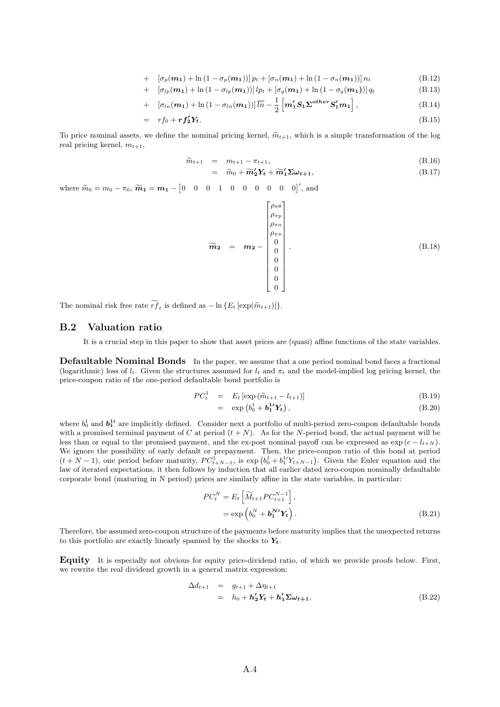+ 
$$
\left[\sigma_p(\mathbf{m_1}) + \ln(1 - \sigma_p(\mathbf{m_1}))\right] p_t + \left[\sigma_n(\mathbf{m_1}) + \ln(1 - \sigma_n(\mathbf{m_1}))\right] n_t
$$
 (B.12)

+ 
$$
\left[\sigma_{lp}(\mathbf{m_1}) + \ln(1 - \sigma_{lp}(\mathbf{m_1}))\right]l p_t + \left[\sigma_q(\mathbf{m_1}) + \ln(1 - \sigma_q(\mathbf{m_1}))\right]q_t
$$
 (B.13)

+ 
$$
\left[\sigma_{ln}(m_1) + \ln(1 - \sigma_{ln}(m_1))\right] \overline{ln} - \frac{1}{2} \left[m'_1 S_1 \Sigma^{other} S'_1 m_1\right],
$$
 (B.14)

$$
= r f_0 + r f_2' Y_t. \tag{B.15}
$$

To price nominal assets, we define the nominal pricing kernel,  $\tilde{m}_{t+1}$ , which is a simple transformation of the log real pricing kernel,  $m_{t+1}$ ,

$$
\widetilde{m}_{t+1} = m_{t+1} - \pi_{t+1},\tag{B.16}
$$

$$
= \widetilde{m}_0 + \widetilde{m}_2' Y_t + \widetilde{m}_1' \Sigma \omega_{t+1}, \tag{B.17}
$$

where  $\widetilde{m}_0 = m_0 - \pi_0$ ,  $\widetilde{m}_1 = m_1 - \begin{bmatrix} 0 & 0 & 0 & 1 & 0 & 0 & 0 & 0 & 0 \end{bmatrix}'$ , and

$$
\widetilde{m}_{2} = m_{2} - \begin{bmatrix} \rho_{\pi\theta} \\ \rho_{\pi p} \\ \rho_{\pi n} \\ 0 \\ 0 \\ 0 \\ 0 \\ 0 \\ 0 \end{bmatrix} . \tag{B.18}
$$

The nominal risk free rate  $rf_t$  is defined as  $-\ln\{E_t\left[\exp(\widetilde{m}_{t+1})\right]\}.$ 

#### B.2 Valuation ratio

It is a crucial step in this paper to show that asset prices are (quasi) affine functions of the state variables.

Defaultable Nominal Bonds In the paper, we assume that a one period nominal bond faces a fractional (logarithmic) loss of  $l_t$ . Given the structures assumed for  $l_t$  and  $\pi_t$  and the model-implied log pricing kernel, the price-coupon ratio of the one-period defaultable bond portfolio is

$$
PC_t^1 = E_t \left[ \exp\left( \widetilde{m}_{t+1} - l_{t+1} \right) \right]
$$
\n(B.19)

$$
= \exp\left(b_0^1 + \mathbf{b}_1^{1\prime} \mathbf{Y}_t\right), \tag{B.20}
$$

where  $b_0^1$  and  $b_1^{1'}$  are implicitly defined. Consider next a portfolio of multi-period zero-coupon defaultable bonds with a promised terminal payment of C at period  $(t + N)$ . As for the N-period bond, the actual payment will be less than or equal to the promised payment, and the ex-post nominal payoff can be expressed as  $\exp(c - l_{t+N})$ . We ignore the possibility of early default or prepayment. Then, the price-coupon ratio of this bond at period  $(t+N-1)$ , one period before maturity,  $PC_{t+N-1}^1$ , is  $\exp(b_0^1 + b_1^1 Y_{t+N-1})$ . Given the Euler equation and the law of iterated expectations, it then follows by induction that all earlier dated zero-coupon nominally defaultable corporate bond (maturing in N period) prices are similarly affine in the state variables, in particular:

$$
PC_t^N = E_t \left[ \widetilde{M}_{t+1} P C_{t+1}^{N-1} \right],
$$
  
=  $\exp \left( b_0^N + \mathbf{b}_1^N' \mathbf{Y}_t \right).$  (B.21)

Therefore, the assumed zero-coupon structure of the payments before maturity implies that the unexpected returns to this portfolio are exactly linearly spanned by the shocks to  $Y_t$ .

Equity It is especially not obvious for equity price-dividend ratio, of which we provide proofs below. First, we rewrite the real dividend growth in a general matrix expression:

$$
\begin{array}{rcl}\n\Delta d_{t+1} & = & g_{t+1} + \Delta \eta_{t+1} \\
& = & h_0 + \mathbf{h}_2' \mathbf{Y}_t + \mathbf{h}_1' \mathbf{\Sigma} \boldsymbol{\omega}_{t+1},\n\end{array} \tag{B.22}
$$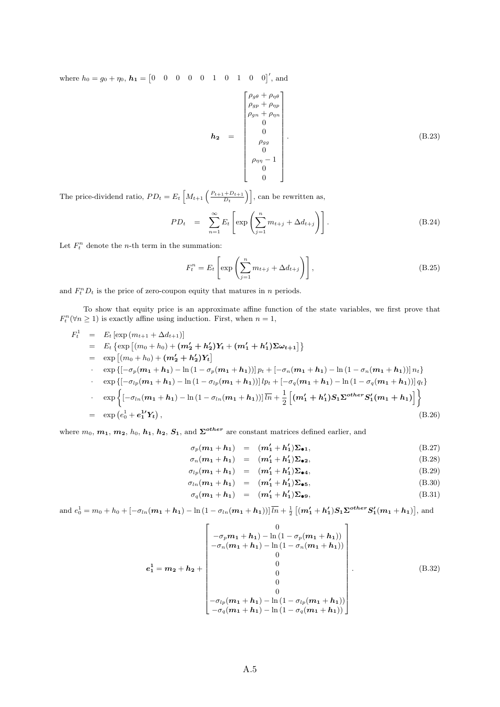where  $h_0 = g_0 + \eta_0$ ,  $h_1 = \begin{bmatrix} 0 & 0 & 0 & 0 & 1 & 0 & 1 & 0 & 0 \end{bmatrix}'$ , and

$$
h_{2} = \begin{bmatrix} \rho_{g\theta} + \rho_{\eta\theta} \\ \rho_{gp} + \rho_{\eta p} \\ \rho_{gn} + \rho_{\eta n} \\ 0 \\ 0 \\ \rho_{gg} \\ 0 \\ \rho_{\eta\eta} - 1 \\ 0 \\ 0 \end{bmatrix} . \tag{B.23}
$$

The price-dividend ratio,  $PD_t = E_t \left[ M_{t+1} \left( \frac{P_{t+1} + D_{t+1}}{D_t} \right) \right]$ , can be rewritten as,

$$
PD_t = \sum_{n=1}^{\infty} E_t \left[ \exp \left( \sum_{j=1}^n m_{t+j} + \Delta d_{t+j} \right) \right]. \tag{B.24}
$$

Let  $F_t^n$  denote the *n*-th term in the summation:

$$
F_t^n = E_t \left[ \exp \left( \sum_{j=1}^n m_{t+j} + \Delta d_{t+j} \right) \right],
$$
\n(B.25)

and  $F_t^n D_t$  is the price of zero-coupon equity that matures in n periods.

To show that equity price is an approximate affine function of the state variables, we first prove that  $F_t^n(\forall n \geq 1)$  is exactly affine using induction. First, when  $n = 1$ ,

$$
F_t^1 = E_t [\exp(m_{t+1} + \Delta d_{t+1})]
$$
  
\n
$$
= E_t {\exp [(m_0 + h_0) + (m'_2 + h'_2)Y_t + (m'_1 + h'_1)\Sigma \omega_{t+1}] }
$$
  
\n
$$
= \exp [(m_0 + h_0) + (m'_2 + h'_2)Y_t]
$$
  
\n
$$
\cdot \exp \{[-\sigma_p(m_1 + h_1) - \ln(1 - \sigma_p(m_1 + h_1))]p_t + [-\sigma_n(m_1 + h_1) - \ln(1 - \sigma_n(m_1 + h_1))]n_t \}
$$
  
\n
$$
\cdot \exp \{[-\sigma_{lp}(m_1 + h_1) - \ln(1 - \sigma_{lp}(m_1 + h_1))]l p_t + [-\sigma_q(m_1 + h_1) - \ln(1 - \sigma_q(m_1 + h_1))]q_t \}
$$
  
\n
$$
\cdot \exp \{[-\sigma_{ln}(m_1 + h_1) - \ln(1 - \sigma_{ln}(m_1 + h_1))]l \overline{n} + \frac{1}{2} [(m'_1 + h'_1)S_1\Sigma^{other}S'_1(m_1 + h_1)] \}
$$
  
\n
$$
= \exp (e_0^1 + e_1^1 Y_t), \qquad (B.26)
$$

where  $m_0$ ,  $m_1$ ,  $m_2$ ,  $h_0$ ,  $h_1$ ,  $h_2$ ,  $S_1$ , and  $\Sigma^{other}$  are constant matrices defined earlier, and

$$
\sigma_p(m_1 + h_1) = (m_1' + h_1')\Sigma_{\bullet 1}, \qquad (B.27)
$$

$$
\sigma_n(\mathbf{m_1} + \mathbf{h_1}) = (\mathbf{m_1'} + \mathbf{h_1'})\mathbf{\Sigma}_{\bullet 2}, \tag{B.28}
$$

$$
\sigma_{lp}(m_1+h_1) = (m'_1+h'_1)\Sigma_{\bullet 4}, \qquad (B.29)
$$

$$
\sigma_{ln}(m_1 + h_1) = (m_1' + h_1')\Sigma_{\bullet 5}, \qquad (B.30)
$$

$$
\sigma_q(m_1 + h_1) = (m_1' + h_1')\Sigma_{\bullet 9}, \tag{B.31}
$$

and  $e_0^1 = m_0 + h_0 + [-\sigma_{ln}(m_1 + h_1) - \ln(1 - \sigma_{ln}(m_1 + h_1))] \overline{ln} + \frac{1}{2} [ (m'_1 + h'_1)S_1 \Sigma^{other} S'_1(m_1 + h_1) ]$ , and

$$
e_{1}^{1} = m_{2} + h_{2} + \begin{bmatrix} 0 \\ -\sigma_{p}m_{1} + h_{1}) - \ln(1 - \sigma_{p}(m_{1} + h_{1})) \\ -\sigma_{n}(m_{1} + h_{1}) - \ln(1 - \sigma_{n}(m_{1} + h_{1})) \\ 0 \\ 0 \\ 0 \\ 0 \\ -\sigma_{lp}(m_{1} + h_{1}) - \ln(1 - \sigma_{lp}(m_{1} + h_{1})) \\ -\sigma_{q}(m_{1} + h_{1}) - \ln(1 - \sigma_{q}(m_{1} + h_{1})) \end{bmatrix}.
$$
(B.32)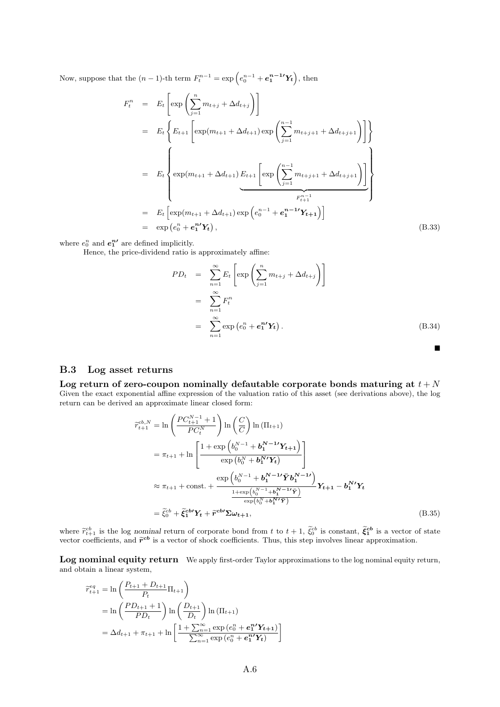Now, suppose that the  $(n-1)$ -th term  $F_t^{n-1} = \exp(e_0^{n-1} + e_1^{n-1}Y_t)$ , then

$$
F_t^n = E_t \left[ \exp \left( \sum_{j=1}^n m_{t+j} + \Delta d_{t+j} \right) \right]
$$
  
\n
$$
= E_t \left\{ E_{t+1} \left[ \exp(m_{t+1} + \Delta d_{t+1}) \exp \left( \sum_{j=1}^{n-1} m_{t+j+1} + \Delta d_{t+j+1} \right) \right] \right\}
$$
  
\n
$$
= E_t \left\{ \exp(m_{t+1} + \Delta d_{t+1}) E_{t+1} \left[ \exp \left( \sum_{j=1}^{n-1} m_{t+j+1} + \Delta d_{t+j+1} \right) \right] \right\}
$$
  
\n
$$
= E_t \left[ \exp(m_{t+1} + \Delta d_{t+1}) \exp \left( e_0^{n-1} + e_1^{n-1} Y_{t+1} \right) \right]
$$
  
\n
$$
= \exp \left( e_0^n + e_1^n Y_t \right), \tag{B.33}
$$

where  $e_0^n$  and  $e_1^{n'}$  are defined implicitly.

Hence, the price-dividend ratio is approximately affine:

$$
PD_t = \sum_{n=1}^{\infty} E_t \left[ \exp \left( \sum_{j=1}^n m_{t+j} + \Delta d_{t+j} \right) \right]
$$
  

$$
= \sum_{n=1}^{\infty} F_t^n
$$
  

$$
= \sum_{n=1}^{\infty} \exp \left( e_0^n + e_1^{n'} \mathbf{Y}_t \right).
$$
 (B.34)

#### B.3 Log asset returns

Log return of zero-coupon nominally defautable corporate bonds maturing at  $t + N$ Given the exact exponential affine expression of the valuation ratio of this asset (see derivations above), the log return can be derived an approximate linear closed form:

$$
\widetilde{r}_{t+1}^{cb,N} = \ln\left(\frac{PC_{t+1}^{N-1} + 1}{PC_t^N}\right) \ln\left(\frac{C}{C}\right) \ln\left(\Pi_{t+1}\right)
$$
\n
$$
= \pi_{t+1} + \ln\left[\frac{1 + \exp\left(b_0^{N-1} + b_1^{N-1'}Y_{t+1}\right)}{\exp\left(b_0^{N} + b_1^{N'}Y_t\right)}\right]
$$
\n
$$
\approx \pi_{t+1} + \text{const.} + \frac{\exp\left(b_0^{N-1} + b_1^{N-1'}\bar{Y}b_1^{N-1'}\right)}{\frac{1 + \exp\left(b_0^{N-1} + b_1^{N-1'}\bar{Y}\right)}{\exp\left(b_0^{N} + b_1^{N'}\bar{Y}\right)}} Y_{t+1} - b_1^{N'}Y_t
$$
\n
$$
= \widetilde{\xi}_0^{cb} + \widetilde{\xi}_1^{cb'}Y_t + \widetilde{r}^{cb'}\Sigma\omega_{t+1}, \tag{B.35}
$$

where  $\tilde{r}_{t+1}^{cb}$  is the log nominal return of corporate bond from t to  $t+1$ ,  $\tilde{\xi}_0^{cb}$  is constant,  $\tilde{\xi}_1^{cb}$  is a vector of state vector coefficients, and  $\tilde{r}^{cb}$  is a vector of shock coefficients. Thus, this step involves linear approximation.

Log nominal equity return We apply first-order Taylor approximations to the log nominal equity return, and obtain a linear system,

$$
\begin{split} \widetilde{r}_{t+1}^{eq} &= \ln\left(\frac{P_{t+1} + D_{t+1}}{P_t} \Pi_{t+1}\right) \\ &= \ln\left(\frac{PD_{t+1} + 1}{PD_t}\right) \ln\left(\frac{D_{t+1}}{D_t}\right) \ln\left(\Pi_{t+1}\right) \\ &= \Delta d_{t+1} + \pi_{t+1} + \ln\left[\frac{1 + \sum_{n=1}^{\infty} \exp\left(e_0^n + e_1^n' \mathbf{Y}_{t+1}\right)}{\sum_{n=1}^{\infty} \exp\left(e_0^n + e_1^n' \mathbf{Y}_{t}\right)}\right] \end{split}
$$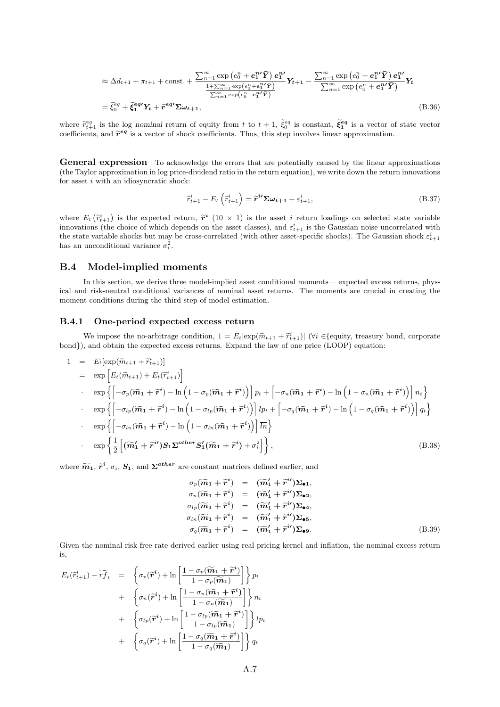$$
\approx \Delta d_{t+1} + \pi_{t+1} + \text{const.} + \frac{\sum_{n=1}^{\infty} \exp\left(e_0^n + e_1^{n\prime}\bar{Y}\right) e_1^{n\prime}}{\frac{1+\sum_{n=1}^{\infty} \exp\left(e_0^n + e_1^{n\prime}\bar{Y}\right)}{\sum_{n=1}^{\infty} \exp\left(e_0^n + e_1^{n\prime}\bar{Y}\right)}} Y_{t+1} - \frac{\sum_{n=1}^{\infty} \exp\left(e_0^n + e_1^{n\prime}\bar{Y}\right) e_1^{n\prime}}{\sum_{n=1}^{\infty} \exp\left(e_0^n + e_1^{n\prime}\bar{Y}\right)} Y_t
$$
\n
$$
= \tilde{\xi}_0^{eq} + \tilde{\xi}_1^{eq} Y_t + \tilde{r}^{eq} Y_{t+1}, \tag{B.36}
$$

where  $\tilde{r}_{t+1}^{eq}$  is the log nominal return of equity from t to  $t+1$ ,  $\tilde{\xi}_0^{eq}$  is constant,  $\tilde{\xi}_1^{eq}$  is a vector of state vector coefficients, and  $\tilde{r}^{eq}$  is a vector of shock coefficients. Thus, this step involves linear approximation.

General expression To acknowledge the errors that are potentially caused by the linear approximations (the Taylor approximation in log price-dividend ratio in the return equation), we write down the return innovations for asset  $i$  with an idiosyncratic shock:

$$
\widetilde{r}_{t+1}^i - E_t\left(\widetilde{r}_{t+1}^i\right) = \widetilde{r}^{i\prime} \Sigma \omega_{t+1} + \varepsilon_{t+1}^i,
$$
\n(B.37)

where  $E_t\left(\tilde{r}_{t+1}^i\right)$  is the expected return,  $\tilde{r}^i$  (10 × 1) is the asset *i* return loadings on selected state variable<br>innovations (the choice of which depends on the asset classes) and  $c^i$  is the Caussian innovations (the choice of which depends on the asset classes), and  $\varepsilon_{t+1}^i$  is the Gaussian noise uncorrelated with the state variable shocks but may be cross-correlated (with other asset-specific shocks). The Gaussian shock  $\varepsilon_{t+1}^i$ has an unconditional variance  $\sigma_i^2$ .

#### B.4 Model-implied moments

In this section, we derive three model-implied asset conditional moments— expected excess returns, physical and risk-neutral conditional variances of nominal asset returns. The moments are crucial in creating the moment conditions during the third step of model estimation.

#### B.4.1 One-period expected excess return

We impose the no-arbitrage condition,  $1 = E_t[\exp(\tilde{m}_{t+1} + \tilde{r}_{t+1}^i)]$  ( $\forall i \in \{\text{equiv, t, t, t, t, t}\}$  conditions, the corporate bond}), and obtain the expected excess returns. Expand the law of one price (LOOP) equation:

$$
1 = E_t[\exp(\widetilde{m}_{t+1} + \widetilde{r}_{t+1}^i)]
$$
  
\n
$$
= \exp\left[E_t(\widetilde{m}_{t+1}) + E_t(\widetilde{r}_{t+1}^i)\right]
$$
  
\n
$$
\exp\left\{-\sigma_p(\widetilde{m}_1 + \widetilde{r}^i) - \ln\left(1 - \sigma_p(\widetilde{m}_1 + \widetilde{r}^i)\right)\right]p_t + \left[-\sigma_n(\widetilde{m}_1 + \widetilde{r}^i) - \ln\left(1 - \sigma_n(\widetilde{m}_1 + \widetilde{r}^i)\right)\right]n_t\right\}
$$
  
\n
$$
\exp\left\{-\sigma_{lp}(\widetilde{m}_1 + \widetilde{r}^i) - \ln\left(1 - \sigma_{lp}(\widetilde{m}_1 + \widetilde{r}^i)\right)\right]l p_t + \left[-\sigma_q(\widetilde{m}_1 + \widetilde{r}^i) - \ln\left(1 - \sigma_q(\widetilde{m}_1 + \widetilde{r}^i)\right)\right]q_t\right\}
$$
  
\n
$$
\exp\left\{\left[-\sigma_{ln}(\widetilde{m}_1 + \widetilde{r}^i) - \ln\left(1 - \sigma_{ln}(\widetilde{m}_1 + \widetilde{r}^i)\right)\right]\overline{l}n\right\}
$$
  
\n
$$
\exp\left\{\frac{1}{2}\left[(\widetilde{m}_1' + \widetilde{r}^i')S_1\Sigma^{other}S_1'(\widetilde{m}_1 + \widetilde{r}^i) + \sigma_i^2\right]\right\},
$$
  
\n(B.38)

where  $\widetilde{m}_1$ ,  $\widetilde{r}^i$ ,  $\sigma_i$ ,  $S_1$ , and  $\Sigma^{other}$  are constant matrices defined earlier, and

$$
\sigma_p(\widetilde{m}_1 + \widetilde{r}^i) = (\widetilde{m}'_1 + \widetilde{r}^i) \Sigma_{\bullet 1},
$$
  
\n
$$
\sigma_n(\widetilde{m}_1 + \widetilde{r}^i) = (\widetilde{m}'_1 + \widetilde{r}^i) \Sigma_{\bullet 2},
$$
  
\n
$$
\sigma_{lp}(\widetilde{m}_1 + \widetilde{r}^i) = (\widetilde{m}'_1 + \widetilde{r}^i) \Sigma_{\bullet 4},
$$
  
\n
$$
\sigma_{ln}(\widetilde{m}_1 + \widetilde{r}^i) = (\widetilde{m}'_1 + \widetilde{r}^i) \Sigma_{\bullet 5},
$$
  
\n
$$
\sigma_q(\widetilde{m}_1 + \widetilde{r}^i) = (\widetilde{m}'_1 + \widetilde{r}^i) \Sigma_{\bullet 9}.
$$
  
\n(B.39)

Given the nominal risk free rate derived earlier using real pricing kernel and inflation, the nominal excess return is,

$$
E_t(\widetilde{r}_{t+1}^i) - \widetilde{rf}_t = \left\{ \sigma_p(\widetilde{r}^i) + \ln \left[ \frac{1 - \sigma_p(\widetilde{m}_1 + \widetilde{r}^i)}{1 - \sigma_p(\widetilde{m}_1)} \right] \right\} p_t
$$
  
+ 
$$
\left\{ \sigma_n(\widetilde{r}^i) + \ln \left[ \frac{1 - \sigma_n(\widetilde{m}_1 + \widetilde{r}^i)}{1 - \sigma_n(\widetilde{m}_1)} \right] \right\} n_t
$$
  
+ 
$$
\left\{ \sigma_{lp}(\widetilde{r}^i) + \ln \left[ \frac{1 - \sigma_{lp}(\widetilde{m}_1 + \widetilde{r}^i)}{1 - \sigma_{lp}(\widetilde{m}_1)} \right] \right\} lp_t
$$
  
+ 
$$
\left\{ \sigma_q(\widetilde{r}^i) + \ln \left[ \frac{1 - \sigma_q(\widetilde{m}_1 + \widetilde{r}^i)}{1 - \sigma_q(\widetilde{m}_1)} \right] \right\} q_t
$$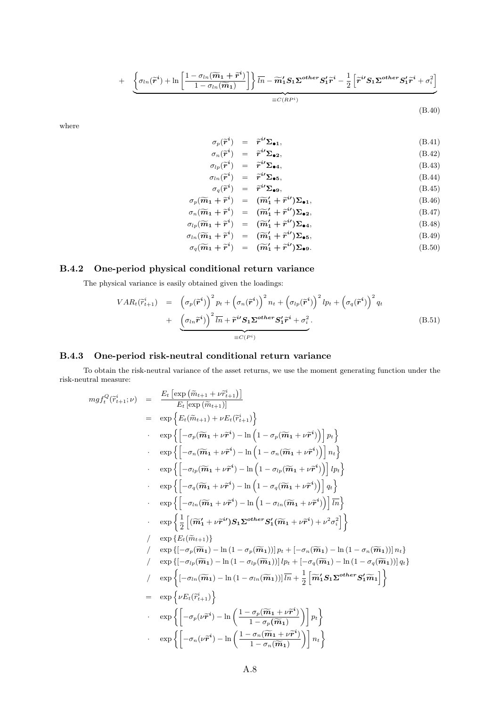+ 
$$
\underbrace{\left\{\sigma_{ln}(\widetilde{\boldsymbol{r}}^{i}) + \ln\left[\frac{1-\sigma_{ln}(\widetilde{\boldsymbol{m}}_{1}+\widetilde{\boldsymbol{r}}^{i})}{1-\sigma_{ln}(\widetilde{\boldsymbol{m}}_{1})}\right]\right\}\overline{\ln} - \widetilde{\boldsymbol{m}}'_{1} \mathbf{S}_{1} \boldsymbol{\Sigma}^{other} \mathbf{S}'_{1} \widetilde{\boldsymbol{r}}^{i} - \frac{1}{2} \left[\widetilde{\boldsymbol{r}}^{i} \mathbf{S}_{1} \boldsymbol{\Sigma}^{other} \mathbf{S}'_{1} \widetilde{\boldsymbol{r}}^{i} + \sigma_{i}^{2}\right]}_{\equiv C(RP^{i})}
$$
\n(B.40)

where

$$
\sigma_p(\widetilde{\mathbf{r}}^i) = \widetilde{\mathbf{r}}^{i\prime} \Sigma_{\bullet 1},
$$
\n(B.41)  
\n
$$
\sigma_n(\widetilde{\mathbf{r}}^i) = \widetilde{\mathbf{r}}^{i\prime} \Sigma_{\bullet 2}.
$$
\n(B.42)

$$
\begin{array}{rcl}\n\sigma_n(\tilde{\boldsymbol{r}}^i) & = & \tilde{\boldsymbol{r}}^{i\prime} \Sigma_{\bullet 2}, \\
\sigma_{lp}(\tilde{\boldsymbol{r}}^i) & = & \tilde{\boldsymbol{r}}^{i\prime} \Sigma_{\bullet 4},\n\end{array} \tag{B.42}
$$

$$
\begin{array}{rcl}\n\sigma_{lp}(\widetilde{\boldsymbol{r}}^i) & = & \widetilde{\boldsymbol{r}}^{i\prime} \boldsymbol{\Sigma}_{\bullet 4}, \\
\sigma_{ln}(\widetilde{\boldsymbol{r}}^i) & = & \widetilde{\boldsymbol{r}}^{i\prime} \boldsymbol{\Sigma}_{\bullet 5}, \\
\sigma_{lm}(\widetilde{\boldsymbol{r}}^i) & = & \widetilde{\boldsymbol{r}}^{i\prime} \boldsymbol{\Sigma}_{\bullet 5},\n\end{array} \tag{B.43}
$$

$$
\sigma_q(\tilde{\mathbf{r}}^i) = \tilde{\mathbf{r}}^{i\prime} \Sigma_{\bullet 9}, \tag{B.45}
$$
\n
$$
\sigma_q(\tilde{\mathbf{r}}^i) = (\tilde{\mathbf{r}}^{i\prime} + \tilde{\mathbf{r}}^{i\prime}) \mathbf{r} \tag{B.46}
$$

$$
\sigma_p(\widetilde{m}_1 + \widetilde{r}^i) = (\widetilde{m}'_1 + \widetilde{r}^{i'})\Sigma_{\bullet 1},
$$
\n
$$
\sigma_n(\widetilde{m}_1 + \widetilde{r}^i) = (\widetilde{m}'_1 + \widetilde{r}^{i'})\Sigma_{\bullet 2},
$$
\n(B.46)

$$
\sigma_{lp}(\widetilde{\mathbf{m}}_1 + \widetilde{\mathbf{r}}^i) = (\widetilde{\mathbf{m}}'_1 + \widetilde{\mathbf{r}}^{i\prime})\Sigma_{\bullet 4},
$$
\n(B.48)

$$
\sigma_{ln}(\widetilde{m}_1 + \widetilde{r}^i) = (\widetilde{m}'_1 + \widetilde{r}^{i'})\Sigma_{\bullet 5},
$$
\n(B.49)\n
$$
\sigma_{ln}(\widetilde{m}_1 + \widetilde{r}^i) = (\widetilde{m}'_1 + \widetilde{r}^{i'})\Sigma_{\bullet 5},
$$
\n(B.60)

$$
\sigma_q(\widetilde{m}_1 + \widetilde{r}^i) = (\widetilde{m}'_1 + \widetilde{r}^{i'}) \Sigma_{\bullet 9}.
$$
 (B.50)

### B.4.2 One-period physical conditional return variance

The physical variance is easily obtained given the loadings:

$$
VAR_{t}(\widetilde{r}_{t+1}^{i}) = (\sigma_{p}(\widetilde{r}^{i}))^{2} p_{t} + (\sigma_{n}(\widetilde{r}^{i}))^{2} n_{t} + (\sigma_{lp}(\widetilde{r}^{i}))^{2} lp_{t} + (\sigma_{q}(\widetilde{r}^{i}))^{2} q_{t}
$$
  
+ 
$$
(\sigma_{ln} \widetilde{r}^{i})^{2} \overline{ln} + \widetilde{r}^{i \prime} S_{1} \Sigma^{other} S_{1}' \widetilde{r}^{i} + \sigma_{i}^{2}.
$$
 (B.51)

#### B.4.3 One-period risk-neutral conditional return variance

To obtain the risk-neutral variance of the asset returns, we use the moment generating function under the risk-neutral measure:

$$
mgf_t^Q(\tilde{r}_{t+1}^i; \nu) = \frac{E_t \left[\exp(\tilde{m}_{t+1} + \nu \tilde{r}_{t+1}^i)\right]}{E_t \left[\exp(\tilde{m}_{t+1})\right]}
$$
  
\n
$$
= \exp \left\{ E_t(\tilde{m}_{t+1}) + \nu E_t(\tilde{r}_{t+1}^i) \right\}
$$
  
\n
$$
\exp \left\{ \left[ -\sigma_p(\widetilde{m}_1 + \nu \tilde{r}^i) - \ln\left(1 - \sigma_p(\widetilde{m}_1 + \nu \tilde{r}^i)\right) \right] \nu_t \right\}
$$
  
\n
$$
\exp \left\{ \left[ -\sigma_n(\widetilde{m}_1 + \nu \tilde{r}^i) - \ln\left(1 - \sigma_n(\widetilde{m}_1 + \nu \tilde{r}^i)\right) \right] \nu_t \right\}
$$
  
\n
$$
\exp \left\{ \left[ -\sigma_{tp}(\widetilde{m}_1 + \nu \tilde{r}^i) - \ln\left(1 - \sigma_{tp}(\widetilde{m}_1 + \nu \tilde{r}^i)\right) \right] \nu_t \right\}
$$
  
\n
$$
\exp \left\{ \left[ -\sigma_q(\widetilde{m}_1 + \nu \tilde{r}^i) - \ln\left(1 - \sigma_q(\widetilde{m}_1 + \nu \tilde{r}^i)\right) \right] \nu_t \right\}
$$
  
\n
$$
\exp \left\{ \left[ -\sigma_{tn}(\widetilde{m}_1 + \nu \tilde{r}^i) - \ln\left(1 - \sigma_{tn}(\widetilde{m}_1 + \nu \tilde{r}^i)\right) \right] \overline{u} \right\}
$$
  
\n
$$
\exp \left\{ \left[ -\sigma_{tn}(\widetilde{m}_1 + \nu \tilde{r}^i) - \ln\left(1 - \sigma_{tn}(\widetilde{m}_1 + \nu \tilde{r}^i)\right) \right] \overline{u} \right\}
$$
  
\n
$$
\exp \left\{ \left[ -\sigma_{tn}(\widetilde{m}_1 + \nu \tilde{r}^i) - \ln(1 - \sigma_{tn}(\widetilde{m}_1 + \nu \tilde{r}^i)) \right] \overline{u} \right\}
$$
  
\n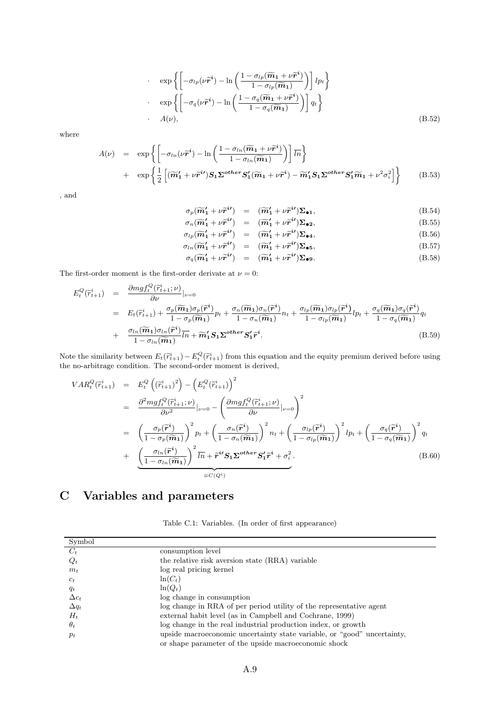$$
\exp\left\{ \left[ -\sigma_{lp}(\nu \widetilde{\boldsymbol{r}}^i) - \ln\left( \frac{1 - \sigma_{lp}(\widetilde{\boldsymbol{m}}_1 + \nu \widetilde{\boldsymbol{r}}^i)}{1 - \sigma_{lp}(\widetilde{\boldsymbol{m}}_1)} \right) \right] lp_t \right\}
$$
  
\n
$$
\exp\left\{ \left[ -\sigma_q(\nu \widetilde{\boldsymbol{r}}^i) - \ln\left( \frac{1 - \sigma_q(\widetilde{\boldsymbol{m}}_1 + \nu \widetilde{\boldsymbol{r}}^i)}{1 - \sigma_q(\widetilde{\boldsymbol{m}}_1)} \right) \right] q_t \right\}
$$
  
\n
$$
A(\nu), \tag{B.52}
$$

where

$$
A(\nu) = \exp\left\{ \left[ -\sigma_{ln}(\nu \widetilde{r}^{i}) - \ln\left( \frac{1 - \sigma_{ln}(\widetilde{m}_{1} + \nu \widetilde{r}^{i})}{1 - \sigma_{ln}(\widetilde{m}_{1})} \right) \right] \overline{ln} \right\}
$$
  
+ 
$$
\exp\left\{ \frac{1}{2} \left[ (\widetilde{m}_{1}' + \nu \widetilde{r}^{i\prime}) \mathbf{S}_{1} \Sigma^{other} \mathbf{S}_{1}' (\widetilde{m}_{1} + \nu \widetilde{r}^{i}) - \widetilde{m}_{1}' \mathbf{S}_{1} \Sigma^{other} \mathbf{S}_{1}' \widetilde{m}_{1} + \nu^{2} \sigma_{i}^{2} \right] \right\}
$$
(B.53)

, and

$$
\sigma_p(\widetilde{m}_1' + \nu \widetilde{r}^{i\prime}) = (\widetilde{m}_1' + \nu \widetilde{r}^{i\prime}) \Sigma_{\bullet 1}, \tag{B.54}
$$
\n
$$
\sigma_p(\widetilde{m}_1' + \nu \widetilde{r}^{i\prime}) = (\widetilde{m}_1' + \nu \widetilde{r}^{i\prime}) \Sigma_{\bullet 1}, \tag{B.55}
$$

$$
\sigma_n(\widetilde{m}_1' + \nu \widetilde{r}^{i\prime}) = (\widetilde{m}_1' + \nu \widetilde{r}^{i\prime}) \Sigma_{\bullet 2},
$$
\n(B.55)

$$
\sigma_{lp}(\widetilde{\boldsymbol{m}}'_1 + \nu \widetilde{\boldsymbol{r}}^{i\prime}) = (\widetilde{\boldsymbol{m}}'_1 + \nu \widetilde{\boldsymbol{r}}^{i\prime}) \Sigma_{\bullet 4}, \tag{B.56}
$$
\n
$$
= (\widetilde{\boldsymbol{m}}'_1 + \nu \widetilde{\boldsymbol{r}}^{i\prime}) \Sigma_{\bullet 4}, \tag{B.57}
$$

$$
\sigma_{ln}(\widetilde{\boldsymbol{m}}'_1 + \nu \widetilde{\boldsymbol{r}}^{i\prime}) = (\widetilde{\boldsymbol{m}}'_1 + \nu \widetilde{\boldsymbol{r}}^{i\prime}) \Sigma_{\bullet 5},
$$
\n(B.57)

$$
\sigma_q(\widetilde{\boldsymbol{m}}_1' + \nu \widetilde{\boldsymbol{r}}^{i'}) = (\widetilde{\boldsymbol{m}}_1' + \nu \widetilde{\boldsymbol{r}}^{i'}) \Sigma_{\bullet 9}.
$$
\n(B.58)

The first-order moment is the first-order derivate at  $\nu=0:$ 

$$
E_{t}^{Q}(\tilde{r}_{t+1}^{i}) = \frac{\partial mgf_{t}^{Q}(\tilde{r}_{t+1}^{i};\nu)}{\partial\nu}|_{\nu=0}
$$
  
\n
$$
= E_{t}(\tilde{r}_{t+1}^{i}) + \frac{\sigma_{p}(\widetilde{m}_{1})\sigma_{p}(\tilde{r}^{i})}{1 - \sigma_{p}(\widetilde{m}_{1})}p_{t} + \frac{\sigma_{n}(\widetilde{m}_{1})\sigma_{n}(\tilde{r}^{i})}{1 - \sigma_{n}(\widetilde{m}_{1})}n_{t} + \frac{\sigma_{lp}(\widetilde{m}_{1})\sigma_{lp}(\tilde{r}^{i})}{1 - \sigma_{lp}(\widetilde{m}_{1})}lp_{t} + \frac{\sigma_{q}(\widetilde{m}_{1})\sigma_{q}(\tilde{r}^{i})}{1 - \sigma_{q}(\widetilde{m}_{1})}qt + \frac{\sigma_{ln}(\widetilde{m}_{1})\sigma_{ln}(\tilde{r}^{i})}{1 - \sigma_{ln}(\widetilde{m}_{1})}\overline{ln} + \widetilde{m}_{1}'S_{1}\Sigma^{other}S_{1}'\tilde{r}^{i}.
$$
\n(B.59)

Note the similarity between  $E_t(\tilde{r}_{t+1}^i) - E_t^Q(\tilde{r}_{t+1}^i)$  from this equation and the equity premium derived before using<br>the no exhitters condition. The second order moment is derived the no-arbitrage condition. The second-order moment is derived,

$$
VAR_{t}^{Q}(\tilde{r}_{t+1}^{i}) = E_{t}^{Q} ((\tilde{r}_{t+1}^{i})^{2}) - (E_{t}^{Q}(\tilde{r}_{t+1}^{i}))^{2}
$$
  
\n
$$
= \frac{\partial^{2} m g f_{t}^{Q}(\tilde{r}_{t+1}^{i}; \nu)}{\partial \nu^{2}} |_{\nu=0} - (\frac{\partial m g f_{t}^{Q}(\tilde{r}_{t+1}^{i}; \nu)}{\partial \nu} |_{\nu=0})^{2}
$$
  
\n
$$
= (\frac{\sigma_{p}(\tilde{r}^{i})}{1 - \sigma_{p}(\tilde{m}_{1})})^{2} p_{t} + (\frac{\sigma_{n}(\tilde{r}^{i})}{1 - \sigma_{n}(\tilde{m}_{1})})^{2} n_{t} + (\frac{\sigma_{lp}(\tilde{r}^{i})}{1 - \sigma_{lp}(\tilde{m}_{1})})^{2} lp_{t} + (\frac{\sigma_{q}(\tilde{r}^{i})}{1 - \sigma_{q}(\tilde{m}_{1})})^{2} q_{t}
$$
  
\n
$$
+ (\frac{\sigma_{ln}(\tilde{r}^{i})}{1 - \sigma_{ln}(\tilde{m}_{1})})^{2} \overline{l}_{n} + \tilde{r}^{i} S_{1} \Sigma^{other} S_{1}' \tilde{r}^{i} + \sigma_{i}^{2}.
$$
\n(B.60)

# C Variables and parameters

|  |  |  | Table C.1: Variables. (In order of first appearance) |  |
|--|--|--|------------------------------------------------------|--|
|  |  |  |                                                      |  |

| Symbol       |                                                                         |
|--------------|-------------------------------------------------------------------------|
| $C_t$        | consumption level                                                       |
| $Q_t$        | the relative risk aversion state (RRA) variable                         |
| $m_t$        | log real pricing kernel                                                 |
| $c_t$        | $ln(C_t)$                                                               |
| $q_t$        | $ln(Q_t)$                                                               |
| $\Delta c_t$ | log change in consumption                                               |
| $\Delta q_t$ | log change in RRA of per period utility of the representative agent     |
| $H_t$        | external habit level (as in Campbell and Cochrane, 1999)                |
| $\theta_t$   | log change in the real industrial production index, or growth           |
| $p_t$        | upside macroeconomic uncertainty state variable, or "good" uncertainty, |
|              | or shape parameter of the upside macroeconomic shock                    |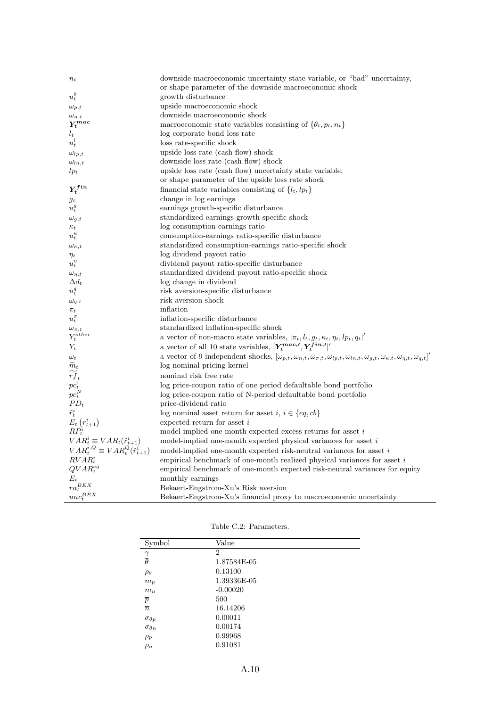| $n_t$                                                             | downside macroeconomic uncertainty state variable, or "bad" uncertainty,                                                                                                        |
|-------------------------------------------------------------------|---------------------------------------------------------------------------------------------------------------------------------------------------------------------------------|
|                                                                   | or shape parameter of the downside macroeconomic shock                                                                                                                          |
| $u_t^{\theta}$                                                    | growth disturbance                                                                                                                                                              |
| $\omega_{p,t}$                                                    | upside macroeconomic shock                                                                                                                                                      |
|                                                                   | downside macroeconomic shock                                                                                                                                                    |
| $\frac{\omega_{n,t}}{Y_t^{mac}}$                                  | macroeconomic state variables consisting of $\{\theta_t, p_t, n_t\}$                                                                                                            |
| $\boldsymbol{l}_t$                                                | log corporate bond loss rate                                                                                                                                                    |
| $u_t^l$                                                           | loss rate-specific shock                                                                                                                                                        |
| $\omega_{lp,t}$                                                   | upside loss rate (cash flow) shock                                                                                                                                              |
| $\omega_{ln,t}$                                                   | downside loss rate (cash flow) shock                                                                                                                                            |
| $lp_t$                                                            | upside loss rate (cash flow) uncertainty state variable,                                                                                                                        |
|                                                                   | or shape parameter of the upside loss rate shock                                                                                                                                |
| $Y_t^{fin}$                                                       | financial state variables consisting of $\{l_t, lp_t\}$                                                                                                                         |
| $g_t$                                                             | change in log earnings                                                                                                                                                          |
| $u_t^g$                                                           | earnings growth-specific disturbance                                                                                                                                            |
| $\omega_{g,t}$                                                    | standardized earnings growth-specific shock                                                                                                                                     |
| $\kappa_t$                                                        | log consumption-earnings ratio                                                                                                                                                  |
| $u_t^{\kappa}$                                                    | consumption-earnings ratio-specific disturbance                                                                                                                                 |
| $\omega_{\kappa,t}$                                               | standardized consumption-earnings ratio-specific shock                                                                                                                          |
| $\eta_t$                                                          | log dividend payout ratio                                                                                                                                                       |
| $u_t^{\eta}$                                                      | dividend payout ratio-specific disturbance                                                                                                                                      |
| $\omega_{\eta,t}$                                                 | standardized dividend payout ratio-specific shock                                                                                                                               |
| $\Delta d_t$                                                      | log change in dividend                                                                                                                                                          |
| $u_t^q$                                                           | risk aversion-specific disturbance                                                                                                                                              |
| $\omega_{q,t}$                                                    | risk aversion shock                                                                                                                                                             |
| $\pi_t$                                                           | inflation                                                                                                                                                                       |
| $u_t^{\pi}$                                                       | inflation-specific disturbance                                                                                                                                                  |
| $\omega_{\pi,t} \\ Y^{other}_t$                                   | standardized inflation-specific shock                                                                                                                                           |
|                                                                   | a vector of non-macro state variables, $[\pi_t, l_t, g_t, \kappa_t, \eta_t, lp_t, q_t]'$                                                                                        |
| $Y_t$                                                             | a vector of all 10 state variables, $[\boldsymbol{Y^{mac,\prime}_t}, \boldsymbol{Y^{fin,\prime}_t}]^\prime$                                                                     |
| $\omega_t$                                                        | a vector of 9 independent shocks, $[\omega_{p,t}, \omega_{n,t}, \omega_{\pi,t}, \omega_{lp,t}, \omega_{ln,t}, \omega_{g,t}, \omega_{\kappa,t}, \omega_{\eta,t}, \omega_{q,t}]'$ |
| $\tilde{m}_t$                                                     | log nominal pricing kernel                                                                                                                                                      |
| $\widetilde{rf}_t$                                                | nominal risk free rate                                                                                                                                                          |
| $\vec{pc}^{\vphantom{\dag}}_{t}_t \vec{pc}^{\vphantom{\dag}}_{t}$ | log price-coupon ratio of one period defaultable bond portfolio                                                                                                                 |
|                                                                   | log price-coupon ratio of N-period defaultable bond portfolio                                                                                                                   |
| $PD_t$                                                            | price-dividend ratio                                                                                                                                                            |
| $\tilde{r}_t^i$                                                   | log nominal asset return for asset $i, i \in \{eq, cb\}$                                                                                                                        |
| $E_t(r_{t+1}^i)$<br>$RP_t^i$                                      | expected return for asset $i$                                                                                                                                                   |
|                                                                   | model-implied one-month expected excess returns for asset $i$                                                                                                                   |
| $VAR_t^i \equiv VAR_t(\tilde{r}_{t+1}^i)$                         | model-implied one-month expected physical variances for asset $i$                                                                                                               |
| $VAR_t^{i,Q} \equiv VAR_t^Q(\tilde{r}_{t+1}^i)$                   | model-implied one-month expected risk-neutral variances for asset $i$                                                                                                           |
| $RVAR_t^i$                                                        | empirical benchmark of one-month realized physical variances for asset $i$                                                                                                      |
| $QVAR_t^{eq}$                                                     | empirical benchmark of one-month expected risk-neutral variances for equity                                                                                                     |
| $\mathcal{E}_t$                                                   | monthly earnings                                                                                                                                                                |
| $ra_t^{BEX}$                                                      | Bekaert-Engstrom-Xu's Risk aversion                                                                                                                                             |
| $unc_t^{BEX}$                                                     | Bekaert-Engstrom-Xu's financial proxy to macroeconomic uncertainty                                                                                                              |

| Symbol                  | Value       |  |
|-------------------------|-------------|--|
|                         | 2           |  |
| $\frac{\gamma}{\theta}$ | 1.87584E-05 |  |
| $\rho_{\theta}$         | 0.13100     |  |
| $m_p$                   | 1.39336E-05 |  |
| $m_n$                   | $-0.00020$  |  |
| $\overline{p}$          | 500         |  |
| $\overline{n}$          | 16.14206    |  |
| $\sigma_{\theta p}$     | 0.00011     |  |
| $\sigma_{\theta n}$     | 0.00174     |  |
| $\rho_p$                | 0.99968     |  |
| $\rho_n$                | 0.91081     |  |

Table C.2: Parameters.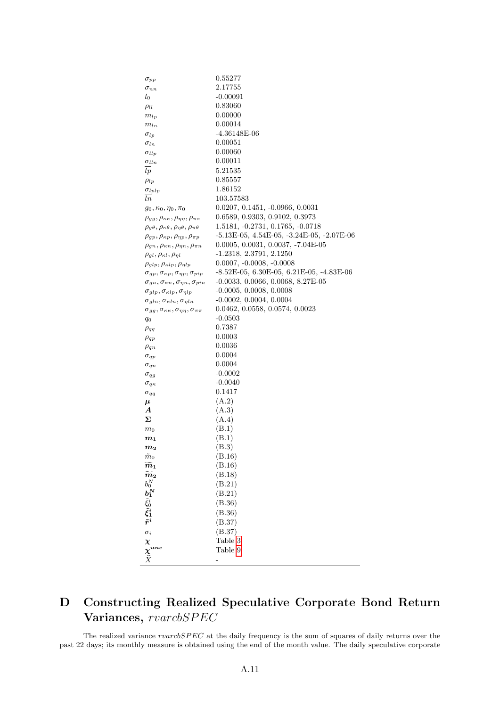| $\sigma_{pp}$                                                                                                                            | 0.55277                                              |
|------------------------------------------------------------------------------------------------------------------------------------------|------------------------------------------------------|
| $\sigma_{nn}$                                                                                                                            | 2.17755                                              |
| $l_0$                                                                                                                                    | $-0.00091$                                           |
| $\rho_{ll}$                                                                                                                              | 0.83060                                              |
| $m_{lp}$                                                                                                                                 | 0.00000                                              |
| $m_{ln}$                                                                                                                                 | 0.00014                                              |
| $\sigma_{lp}$                                                                                                                            | -4.36148E-06                                         |
| $\sigma_{ln}$                                                                                                                            | 0.00051                                              |
| $\sigma_{llp}$                                                                                                                           | 0.00060                                              |
|                                                                                                                                          | 0.00011                                              |
| $\sigma_{lln}$<br>l p                                                                                                                    | 5.21535                                              |
|                                                                                                                                          |                                                      |
| $\rho_{lp}$                                                                                                                              | 0.85557                                              |
| $\sigma_{lplp}$                                                                                                                          | 1.86152                                              |
| ln                                                                                                                                       | 103.57583                                            |
| $g_0, \kappa_0, \eta_0, \pi_0$                                                                                                           | $0.0207, 0.1451, -0.0966, 0.0031$                    |
| $\rho_{gg}, \rho_{\kappa\kappa}, \rho_{\eta\eta}, \rho_{\pi\pi}$                                                                         | 0.6589, 0.9303, 0.9102, 0.3973                       |
| $\rho_{g\theta}, \rho_{\kappa\theta}, \rho_{\eta\theta}, \rho_{\pi\theta}$                                                               | 1.5181, -0.2731, 0.1765, -0.0718                     |
| $\rho_{gp}, \rho_{\kappa p}, \rho_{\eta p}, \rho_{\pi p}$                                                                                | $-5.13E-05$ , $4.54E-05$ , $-3.24E-05$ , $-2.07E-06$ |
| $\rho_{qn}, \rho_{\kappa n}, \rho_{\eta n}, \rho_{\pi n}$                                                                                | $0.0005, 0.0031, 0.0037, -7.04E-05$                  |
| $\rho_{gl}, \rho_{\kappa l}, \rho_{\eta l}$                                                                                              | $-1.2318, 2.3791, 2.1250$                            |
| $\rho_{glp}, \rho_{\kappa l p}, \rho_{\eta l p}$                                                                                         | $0.0007, -0.0008, -0.0008$                           |
| $\sigma_{gp}, \sigma_{\kappa p}, \sigma_{\eta p}, \sigma_{pip}$                                                                          | $-8.52E-05, 6.30E-05, 6.21E-05, -4.83E-06$           |
| $\sigma_{gn}, \sigma_{\kappa n}, \sigma_{\eta n}, \sigma_{pin}$                                                                          | $-0.0033, 0.0066, 0.0068, 8.27E-05$                  |
| $\sigma_{glp},\sigma_{\kappa l p},\sigma_{\eta l p}$                                                                                     | $-0.0005, 0.0008, 0.0008$                            |
| $\sigma_{gln}, \sigma_{\kappa ln}, \sigma_{\eta ln}$                                                                                     | $-0.0002, 0.0004, 0.0004$                            |
| $\sigma_{gg}, \sigma_{\kappa\kappa}, \sigma_{\eta\eta}, \sigma_{\pi\pi}$                                                                 | 0.0462, 0.0558, 0.0574, 0.0023                       |
| $q_0$                                                                                                                                    | $-0.0503$                                            |
| $\rho_{qq}$                                                                                                                              | 0.7387                                               |
| $\rho_{qp}$                                                                                                                              | 0.0003                                               |
| $\rho_{qn}$                                                                                                                              | 0.0036                                               |
| $\sigma_{qp}$                                                                                                                            | 0.0004                                               |
| $\sigma_{qn}$                                                                                                                            | 0.0004                                               |
| $\sigma_{qg}$                                                                                                                            | $-0.0002$                                            |
| $\sigma_{q\kappa}$                                                                                                                       | $-0.0040$                                            |
| $\sigma_{qq}$                                                                                                                            | 0.1417                                               |
| $\boldsymbol{\mu}$                                                                                                                       | (A.2)                                                |
| A                                                                                                                                        | (A.3)                                                |
| Σ                                                                                                                                        | (A.4)                                                |
| m <sub>0</sub>                                                                                                                           | (B.1)                                                |
| $\boldsymbol{m_1}$                                                                                                                       | (B.1)                                                |
| $\boldsymbol{m_2}$                                                                                                                       | (B.3)                                                |
| $\tilde{m}_0$                                                                                                                            | (B.16)                                               |
| $\widetilde m_1$                                                                                                                         | (B.16)                                               |
|                                                                                                                                          | (B.18)                                               |
|                                                                                                                                          | (B.21)                                               |
|                                                                                                                                          | (B.21)                                               |
|                                                                                                                                          | (B.36)                                               |
|                                                                                                                                          | (B.36)                                               |
| $\begin{matrix} \widetilde{\bm{m}}_\mathbf{2} \ \bm{b}_0^N\ \bm{b}_1^N\ \tilde{\xi}_0^i\ \tilde{\xi}_1^i\ \tilde{\bm{r}}^i \end{matrix}$ | (B.37)                                               |
|                                                                                                                                          | (B.37)                                               |
|                                                                                                                                          | Table 3                                              |
| $\sigma_i \chi \chi^{unc} \over \hat{X}$                                                                                                 | Table 9                                              |
|                                                                                                                                          |                                                      |
|                                                                                                                                          |                                                      |

# D Constructing Realized Speculative Corporate Bond Return Variances,  $r \text{var}$ cbSPEC

The realized variance  $r \text{var} \text{c} \text{b} \text{SPEC}$  at the daily frequency is the sum of squares of daily returns over the past 22 days; its monthly measure is obtained using the end of the month value. The daily speculative corporate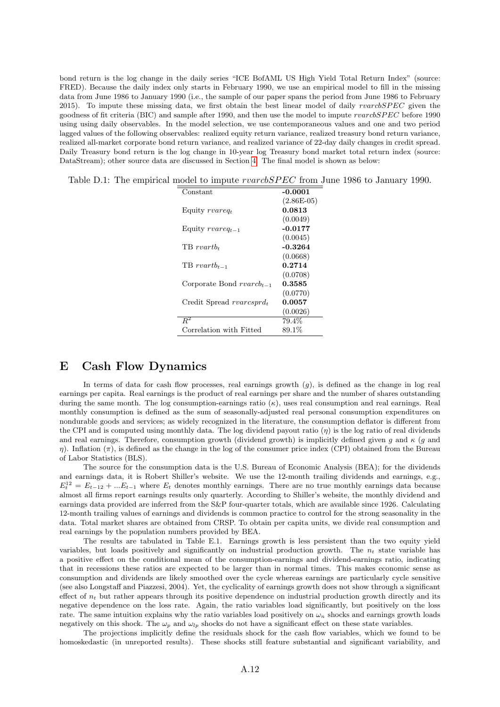bond return is the log change in the daily series "ICE BofAML US High Yield Total Return Index" (source: FRED). Because the daily index only starts in February 1990, we use an empirical model to fill in the missing data from June 1986 to January 1990 (i.e., the sample of our paper spans the period from June 1986 to February 2015). To impute these missing data, we first obtain the best linear model of daily  $rvars BPEC$  given the goodness of fit criteria (BIC) and sample after 1990, and then use the model to impute rvarcbSPEC before 1990 using using daily observables. In the model selection, we use contemporaneous values and one and two period lagged values of the following observables: realized equity return variance, realized treasury bond return variance, realized all-market corporate bond return variance, and realized variance of 22-day daily changes in credit spread. Daily Treasury bond return is the log change in 10-year log Treasury bond market total return index (source: DataStream); other source data are discussed in Section [4.](#page--1-0) The final model is shown as below:

|  |  | Table D.1: The empirical model to impute <i>rvarcbSPEC</i> from June 1986 to January 1990. |  |  |  |  |  |
|--|--|--------------------------------------------------------------------------------------------|--|--|--|--|--|
|--|--|--------------------------------------------------------------------------------------------|--|--|--|--|--|

| Constant                              | $-0.0001$    |
|---------------------------------------|--------------|
|                                       | $(2.86E-05)$ |
| Equity $r \nvert q_t$                 | 0.0813       |
|                                       | (0.0049)     |
| Equity $r \nvert_i = 1$               | $-0.0177$    |
|                                       | (0.0045)     |
| $TB$ rvartb.                          | $-0.3264$    |
|                                       | (0.0668)     |
| $TB\,r \nu artb_{t-1}$                | 0.2714       |
|                                       | (0.0708)     |
| Corporate Bond $r \nvert v \cdot u$   | 0.3585       |
|                                       | (0.0770)     |
| Credit Spread $r \nvert r \nvert d_t$ | 0.0057       |
|                                       | (0.0026)     |
| $\overline{R^2}$                      | 79.4%        |
| Correlation with Fitted               | 89.1%        |
|                                       |              |

## E Cash Flow Dynamics

In terms of data for cash flow processes, real earnings growth  $(g)$ , is defined as the change in log real earnings per capita. Real earnings is the product of real earnings per share and the number of shares outstanding during the same month. The log consumption-earnings ratio  $(\kappa)$ , uses real consumption and real earnings. Real monthly consumption is defined as the sum of seasonally-adjusted real personal consumption expenditures on nondurable goods and services; as widely recognized in the literature, the consumption deflator is different from the CPI and is computed using monthly data. The log dividend payout ratio  $(\eta)$  is the log ratio of real dividends and real earnings. Therefore, consumption growth (dividend growth) is implicitly defined given g and  $\kappa$  (g and  $η$ ). Inflation (π), is defined as the change in the log of the consumer price index (CPI) obtained from the Bureau of Labor Statistics (BLS).

The source for the consumption data is the U.S. Bureau of Economic Analysis (BEA); for the dividends and earnings data, it is Robert Shiller's website. We use the 12-month trailing dividends and earnings, e.g.,  $E_t^{12} = E_{t-12} + ... E_{t-1}$  where  $E_t$  denotes monthly earnings. There are no true monthly earnings data because almost all firms report earnings results only quarterly. According to Shiller's website, the monthly dividend and earnings data provided are inferred from the S&P four-quarter totals, which are available since 1926. Calculating 12-month trailing values of earnings and dividends is common practice to control for the strong seasonality in the data. Total market shares are obtained from CRSP. To obtain per capita units, we divide real consumption and real earnings by the population numbers provided by BEA.

The results are tabulated in Table E.1. Earnings growth is less persistent than the two equity yield variables, but loads positively and significantly on industrial production growth. The  $n_t$  state variable has a positive effect on the conditional mean of the consumption-earnings and dividend-earnings ratio, indicating that in recessions these ratios are expected to be larger than in normal times. This makes economic sense as consumption and dividends are likely smoothed over the cycle whereas earnings are particularly cycle sensitive (see also Longstaff and Piazzesi, 2004). Yet, the cyclicality of earnings growth does not show through a significant effect of  $n_t$  but rather appears through its positive dependence on industrial production growth directly and its negative dependence on the loss rate. Again, the ratio variables load significantly, but positively on the loss rate. The same intuition explains why the ratio variables load positively on  $\omega_n$  shocks and earnings growth loads negatively on this shock. The  $\omega_p$  and  $\omega_{lp}$  shocks do not have a significant effect on these state variables.

The projections implicitly define the residuals shock for the cash flow variables, which we found to be homoskedastic (in unreported results). These shocks still feature substantial and significant variability, and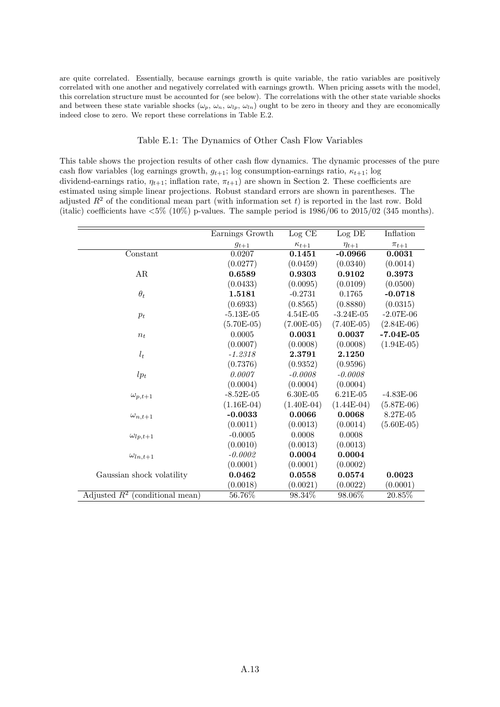are quite correlated. Essentially, because earnings growth is quite variable, the ratio variables are positively correlated with one another and negatively correlated with earnings growth. When pricing assets with the model, this correlation structure must be accounted for (see below). The correlations with the other state variable shocks and between these state variable shocks  $(\omega_p, \omega_n, \omega_{lp}, \omega_{ln})$  ought to be zero in theory and they are economically indeed close to zero. We report these correlations in Table E.2.

#### Table E.1: The Dynamics of Other Cash Flow Variables

This table shows the projection results of other cash flow dynamics. The dynamic processes of the pure cash flow variables (log earnings growth,  $g_{t+1}$ ; log consumption-earnings ratio,  $\kappa_{t+1}$ ; log dividend-earnings ratio,  $\eta_{t+1}$ ; inflation rate,  $\pi_{t+1}$ ) are shown in Section 2. These coefficients are estimated using simple linear projections. Robust standard errors are shown in parentheses. The adjusted  $R^2$  of the conditional mean part (with information set t) is reported in the last row. Bold (italic) coefficients have  $\langle 5\% \rangle$  (10%) p-values. The sample period is 1986/06 to 2015/02 (345 months).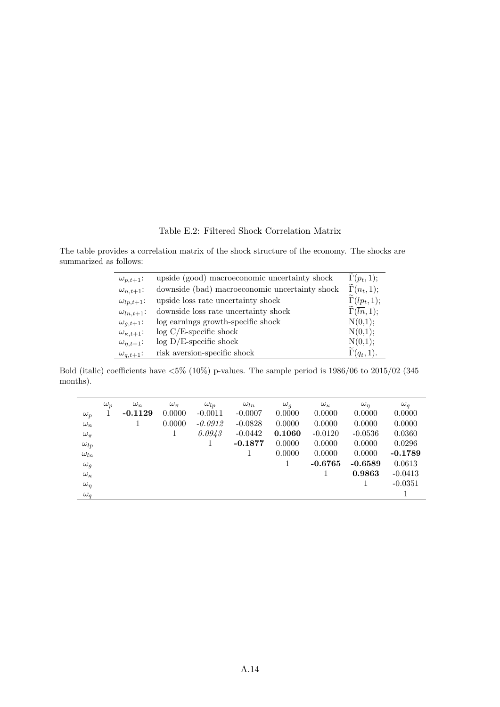Table E.2: Filtered Shock Correlation Matrix

The table provides a correlation matrix of the shock structure of the economy. The shocks are summarized as follows:

| $\omega_{p,t+1}$ :      | upside (good) macroeconomic uncertainty shock  | $\Gamma(p_t, 1);$                      |
|-------------------------|------------------------------------------------|----------------------------------------|
| $\omega_{n,t+1}$ :      | downside (bad) macroeconomic uncertainty shock | $\Gamma(n_t, 1);$                      |
| $\omega_{lp,t+1}$ :     | upside loss rate uncertainty shock             | $\widetilde{\Gamma}(lp_t,1);$          |
| $\omega_{ln,t+1}$ :     | downside loss rate uncertainty shock           | $\widetilde{\Gamma}(\overline{ln},1);$ |
| $\omega_{q,t+1}$ :      | log earnings growth-specific shock             | N(0,1);                                |
| $\omega_{\kappa,t+1}$ : | $log C/E$ -specific shock                      | N(0,1);                                |
| $\omega_{\eta,t+1}$ :   | $log D/E$ -specific shock                      | N(0,1);                                |
| $\omega_{q,t+1}$ :      | risk aversion-specific shock                   | $\Gamma(q_t, 1).$                      |

Bold (italic) coefficients have <5% (10%) p-values. The sample period is 1986/06 to 2015/02 (345 months).

|                   | $\omega_p$ | $\omega_n$ | $\omega_{\pi}$ | $\omega_{lp}$ | $\omega_{ln}$ | $\omega_a$ | $\omega_{\kappa}$ | $\omega_n$ | $\omega_a$ |
|-------------------|------------|------------|----------------|---------------|---------------|------------|-------------------|------------|------------|
| $\omega_p$        | 1          | $-0.1129$  | 0.0000         | $-0.0011$     | $-0.0007$     | 0.0000     | 0.0000            | 0.0000     | 0.0000     |
| $\omega_n$        |            |            | 0.0000         | $-0.0912$     | $-0.0828$     | 0.0000     | 0.0000            | 0.0000     | 0.0000     |
| $\omega_{\pi}$    |            |            | 1              | 0.0943        | $-0.0442$     | 0.1060     | $-0.0120$         | $-0.0536$  | 0.0360     |
| $\omega_{lp}$     |            |            |                | 1             | $-0.1877$     | 0.0000     | 0.0000            | 0.0000     | 0.0296     |
| $\omega_{ln}$     |            |            |                |               |               | 0.0000     | 0.0000            | 0.0000     | $-0.1789$  |
| $\omega_q$        |            |            |                |               |               |            | $-0.6765$         | $-0.6589$  | 0.0613     |
| $\omega_{\kappa}$ |            |            |                |               |               |            |                   | 0.9863     | $-0.0413$  |
| $\omega_{\eta}$   |            |            |                |               |               |            |                   |            | $-0.0351$  |
| $\omega_q$        |            |            |                |               |               |            |                   |            |            |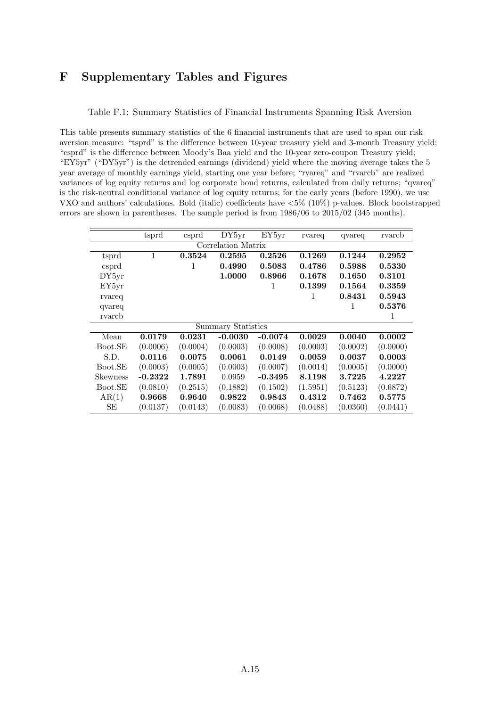## F Supplementary Tables and Figures

Table F.1: Summary Statistics of Financial Instruments Spanning Risk Aversion

This table presents summary statistics of the 6 financial instruments that are used to span our risk aversion measure: "tsprd" is the difference between 10-year treasury yield and 3-month Treasury yield; "csprd" is the difference between Moody's Baa yield and the 10-year zero-coupon Treasury yield; "EY5yr" ("DY5yr") is the detrended earnings (dividend) yield where the moving average takes the 5 year average of monthly earnings yield, starting one year before; "rvareq" and "rvarcb" are realized variances of log equity returns and log corporate bond returns, calculated from daily returns; "qvareq" is the risk-neutral conditional variance of log equity returns; for the early years (before 1990), we use VXO and authors' calculations. Bold (italic) coefficients have <5% (10%) p-values. Block bootstrapped errors are shown in parentheses. The sample period is from 1986/06 to 2015/02 (345 months).

|                 | tsprd     | csprd    | DY5yr                     | EY5yr     | rvareq   | qvareq   | rvarch   |
|-----------------|-----------|----------|---------------------------|-----------|----------|----------|----------|
|                 |           |          | Correlation Matrix        |           |          |          |          |
| tsprd           | 1         | 0.3524   | 0.2595                    | 0.2526    | 0.1269   | 0.1244   | 0.2952   |
| csprd           |           | 1        | 0.4990                    | 0.5083    | 0.4786   | 0.5988   | 0.5330   |
| DY5yr           |           |          | 1.0000                    | 0.8966    | 0.1678   | 0.1650   | 0.3101   |
| EY5yr           |           |          |                           | 1         | 0.1399   | 0.1564   | 0.3359   |
| rvareq          |           |          |                           |           | 1        | 0.8431   | 0.5943   |
| qvareq          |           |          |                           |           |          | 1        | 0.5376   |
| rvarch          |           |          |                           |           |          |          | 1        |
|                 |           |          | <b>Summary Statistics</b> |           |          |          |          |
| Mean            | 0.0179    | 0.0231   | $-0.0030$                 | $-0.0074$ | 0.0029   | 0.0040   | 0.0002   |
| Boot.SE         | (0.0006)  | (0.0004) | (0.0003)                  | (0.0008)  | (0.0003) | (0.0002) | (0.0000) |
| S.D.            | 0.0116    | 0.0075   | 0.0061                    | 0.0149    | 0.0059   | 0.0037   | 0.0003   |
| Boot.SE         | (0.0003)  | (0.0005) | (0.0003)                  | (0.0007)  | (0.0014) | (0.0005) | (0.0000) |
| <b>Skewness</b> | $-0.2322$ | 1.7891   | 0.0959                    | $-0.3495$ | 8.1198   | 3.7225   | 4.2227   |
| Boot.SE         | (0.0810)  | (0.2515) | (0.1882)                  | (0.1502)  | (1.5951) | (0.5123) | (0.6872) |
| AR(1)           | 0.9668    | 0.9640   | 0.9822                    | 0.9843    | 0.4312   | 0.7462   | 0.5775   |
| SЕ              | (0.0137)  | (0.0143) | (0.0083)                  | (0.0068)  | (0.0488) | (0.0360) | (0.0441) |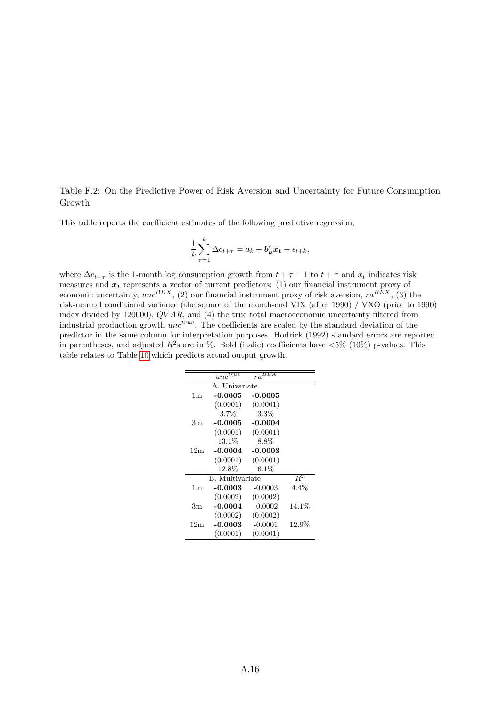Table F.2: On the Predictive Power of Risk Aversion and Uncertainty for Future Consumption Growth

This table reports the coefficient estimates of the following predictive regression,

$$
\frac{1}{k}\sum_{\tau=1}^k \Delta c_{t+\tau} = a_k + b_k' x_t + \epsilon_{t+k},
$$

where  $\Delta c_{t+\tau}$  is the 1-month log consumption growth from  $t + \tau - 1$  to  $t + \tau$  and  $x_t$  indicates risk measures and  $x_t$  represents a vector of current predictors: (1) our financial instrument proxy of economic uncertainty,  $unc^{BEX}$ , (2) our financial instrument proxy of risk aversion,  $ra^{BEX}$ , (3) the risk-neutral conditional variance (the square of the month-end VIX (after 1990) / VXO (prior to 1990) index divided by 120000), QV AR, and (4) the true total macroeconomic uncertainty filtered from industrial production growth  $unc<sup>true</sup>$ . The coefficients are scaled by the standard deviation of the predictor in the same column for interpretation purposes. Hodrick (1992) standard errors are reported in parentheses, and adjusted  $R^2$ s are in %. Bold (italic) coefficients have  $\langle 5\% \rangle$  (10%) p-values. This table relates to Table [10](#page--1-0) which predicts actual output growth.

|                 | $unc^{\overline{true}}$ | $ra^{\overline{BEX}}$ |          |
|-----------------|-------------------------|-----------------------|----------|
|                 | A. Univariate           |                       |          |
| 1 <sub>m</sub>  | $-0.0005$               | -0.0005               |          |
|                 | (0.0001)                | (0.0001)              |          |
|                 | $3.7\%$                 | $3.3\%$               |          |
| 3m              | $-0.0005$               | $-0.0004$             |          |
|                 | (0.0001)                | (0.0001)              |          |
|                 | 13.1%                   | 8.8%                  |          |
| 12 <sub>m</sub> | $-0.0004$               | $-0.0003$             |          |
|                 | (0.0001)                | (0.0001)              |          |
|                 | 12.8%                   | $6.1\%$               |          |
|                 | <b>B.</b> Multivariate  |                       | $R^2$    |
| 1 <sub>m</sub>  | $-0.0003$               | $-0.0003$             | 4.4%     |
|                 | (0.0002)                | (0.0002)              |          |
| 3m              | $-0.0004$               | $-0.0002$             | $14.1\%$ |
|                 | (0.0002)                | (0.0002)              |          |
| 12m             | $-0.0003$               | $-0.0001$             | $12.9\%$ |
|                 | (0.0001)                | (0.0001)              |          |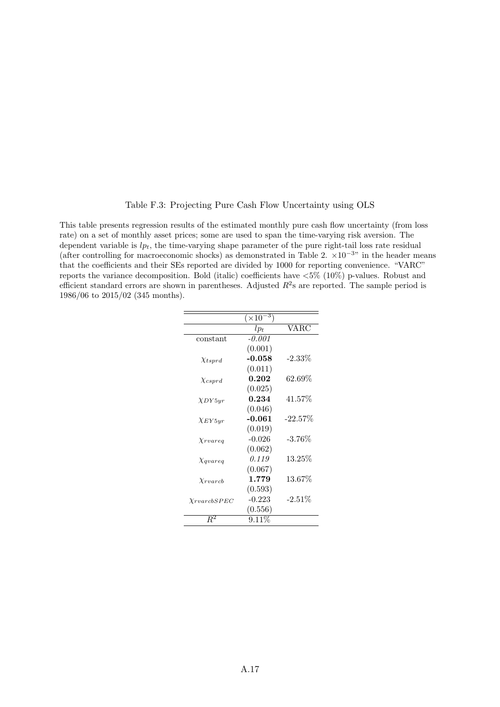Table F.3: Projecting Pure Cash Flow Uncertainty using OLS

This table presents regression results of the estimated monthly pure cash flow uncertainty (from loss rate) on a set of monthly asset prices; some are used to span the time-varying risk aversion. The dependent variable is  $lp_t$ , the time-varying shape parameter of the pure right-tail loss rate residual (after controlling for macroeconomic shocks) as demonstrated in Table 2.  $\times 10^{-3}$ " in the header means that the coefficients and their SEs reported are divided by 1000 for reporting convenience. "VARC" reports the variance decomposition. Bold (italic) coefficients have <5% (10%) p-values. Robust and efficient standard errors are shown in parentheses. Adjusted  $R^2$ s are reported. The sample period is 1986/06 to 2015/02 (345 months).

|                                                                                                        | $(\times 10^{-3})$ |            |
|--------------------------------------------------------------------------------------------------------|--------------------|------------|
|                                                                                                        | $lp_t$             | VARC       |
| constant                                                                                               | $-0.001$           |            |
|                                                                                                        | (0.001)            |            |
| $\chi_{tsprd}$                                                                                         | $-0.058$           | $-2.33\%$  |
|                                                                                                        | (0.011)            |            |
| $\chi_{csprd}$                                                                                         | 0.202              | $62.69\%$  |
|                                                                                                        | (0.025)            |            |
| $\chi_{D Y5 yr}$                                                                                       | 0.234              | 41.57%     |
|                                                                                                        | (0.046)            |            |
| $\chi_{EY5yr}$                                                                                         | $-0.061$           | $-22.57\%$ |
|                                                                                                        | (0.019)            |            |
| $\chi_{rvareq}$                                                                                        | $-0.026$           | $-3.76\%$  |
|                                                                                                        | (0.062)            |            |
| $\chi_{\textit{quareq}}$                                                                               | 0.119              | $13.25\%$  |
|                                                                                                        | (0.067)            |            |
| X <sub>rvarcb</sub>                                                                                    | 1.779              | 13.67%     |
|                                                                                                        | (0.593)            |            |
| $X\mathit{r} \mathit{v} \mathit{ar} \mathit{c} \mathit{b} \mathit{S} \mathit{P} \mathit{E} \mathit{C}$ | $-0.223$           | $-2.51\%$  |
|                                                                                                        | (0.556)            |            |
| $\,R^2$                                                                                                | $9.11\%$           |            |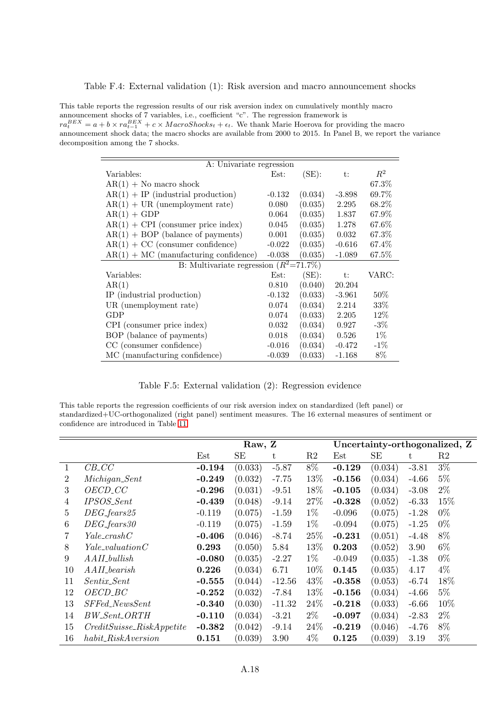Table F.4: External validation (1): Risk aversion and macro announcement shocks

This table reports the regression results of our risk aversion index on cumulatively monthly macro announcement shocks of 7 variables, i.e., coefficient "c". The regression framework is  $ra_t^{BEX} = a + b \times ra_{t-1}^{BEX} + c \times MacroShocks_t + \epsilon_t$ . We thank Marie Hoerova for providing the macro announcement shock data; the macro shocks are available from 2000 to 2015. In Panel B, we report the variance decomposition among the 7 shocks.

| A: Univariate regression                  |          |         |          |        |  |  |  |  |
|-------------------------------------------|----------|---------|----------|--------|--|--|--|--|
| Variables:                                | Est:     | (SE):   | t:       | $R^2$  |  |  |  |  |
| $AR(1) + No$ macro shock                  |          |         |          | 67.3%  |  |  |  |  |
| $AR(1) + IP$ (industrial production)      | $-0.132$ | (0.034) | $-3.898$ | 69.7%  |  |  |  |  |
| $AR(1) + UR$ (unemployment rate)          | 0.080    | (0.035) | 2.295    | 68.2%  |  |  |  |  |
| $AR(1) + GDP$                             | 0.064    | (0.035) | 1.837    | 67.9%  |  |  |  |  |
| $AR(1) + CPI$ (consumer price index)      | 0.045    | (0.035) | 1.278    | 67.6%  |  |  |  |  |
| $AR(1) + BOP$ (balance of payments)       | 0.001    | (0.035) | 0.032    | 67.3%  |  |  |  |  |
| $AR(1) + CC$ (consumer confidence)        | $-0.022$ | (0.035) | $-0.616$ | 67.4%  |  |  |  |  |
| $AR(1) + MC$ (manufacturing confidence)   | $-0.038$ | (0.035) | $-1.089$ | 67.5%  |  |  |  |  |
| B: Multivariate regression $(R^2=71.7\%)$ |          |         |          |        |  |  |  |  |
| Variables:                                | Est:     | (SE):   | $t$ :    | VARC:  |  |  |  |  |
| AR(1)                                     | 0.810    | (0.040) | 20.204   |        |  |  |  |  |
| IP (industrial production)                | $-0.132$ | (0.033) | $-3.961$ | $50\%$ |  |  |  |  |
| UR (unemployment rate)                    | 0.074    | (0.034) | 2.214    | 33\%   |  |  |  |  |
| GDP                                       | 0.074    | (0.033) | 2.205    | 12\%   |  |  |  |  |
| CPI (consumer price index)                | 0.032    | (0.034) | 0.927    | $-3\%$ |  |  |  |  |
| BOP (balance of payments)                 | 0.018    | (0.034) | 0.526    | $1\%$  |  |  |  |  |
| CC (consumer confidence)                  | $-0.016$ | (0.034) | $-0.472$ | $-1\%$ |  |  |  |  |
| MC (manufacturing confidence)             | $-0.039$ | (0.033) | $-1.168$ | 8%     |  |  |  |  |

Table F.5: External validation (2): Regression evidence

This table reports the regression coefficients of our risk aversion index on standardized (left panel) or standardized+UC-orthogonalized (right panel) sentiment measures. The 16 external measures of sentiment or confidence are introduced in Table [11.](#page--1-0)

|                |                              | Raw, Z   |         |          |                | Uncertainty-orthogonalized, Z |           |         |       |
|----------------|------------------------------|----------|---------|----------|----------------|-------------------------------|-----------|---------|-------|
|                |                              | Est      | SE      | t        | R <sub>2</sub> | Est                           | <b>SE</b> | t       | R2    |
| 1              | $CB\_CC$                     | $-0.194$ | (0.033) | $-5.87$  | $8\%$          | $-0.129$                      | (0.034)   | $-3.81$ | $3\%$ |
| 2              | $\textit{Michael}$           | $-0.249$ | (0.032) | $-7.75$  | 13\%           | $-0.156$                      | (0.034)   | $-4.66$ | $5\%$ |
| 3              | $OECD\_CC$                   | $-0.296$ | (0.031) | $-9.51$  | 18%            | $-0.105$                      | (0.034)   | $-3.08$ | $2\%$ |
| $\overline{4}$ | IPSOS_Sent                   | $-0.439$ | (0.048) | $-9.14$  | 27%            | $-0.328$                      | (0.052)   | $-6.33$ | 15%   |
| $\overline{5}$ | $DEG_{-}fears 25$            | $-0.119$ | (0.075) | $-1.59$  | $1\%$          | $-0.096$                      | (0.075)   | $-1.28$ | $0\%$ |
| 6              | $DEG_{\text{-}fears}30$      | $-0.119$ | (0.075) | $-1.59$  | $1\%$          | $-0.094$                      | (0.075)   | $-1.25$ | $0\%$ |
| 7              | $Yale\_crashC$               | $-0.406$ | (0.046) | $-8.74$  | 25\%           | $-0.231$                      | (0.051)   | $-4.48$ | 8%    |
| 8              | $Yale\_valuationC$           | 0.293    | (0.050) | 5.84     | 13%            | 0.203                         | (0.052)   | 3.90    | $6\%$ |
| 9              | $A A II_b$ ullish            | $-0.080$ | (0.035) | $-2.27$  | $1\%$          | $-0.049$                      | (0.035)   | $-1.38$ | $0\%$ |
| 10             | $A A II_0$                   | 0.226    | (0.034) | 6.71     | 10%            | 0.145                         | (0.035)   | 4.17    | $4\%$ |
| 11             | $Sentix\_Sent$               | $-0.555$ | (0.044) | $-12.56$ | 43\%           | $-0.358$                      | (0.053)   | $-6.74$ | 18%   |
| 12             | $OECD\_BC$                   | $-0.252$ | (0.032) | $-7.84$  | 13%            | $-0.156$                      | (0.034)   | $-4.66$ | $5\%$ |
| 13             | $SFFed\_NewsSent$            | $-0.340$ | (0.030) | $-11.32$ | 24\%           | $-0.218$                      | (0.033)   | $-6.66$ | 10%   |
| 14             | $BW\_Sent\_ORTH$             | $-0.110$ | (0.034) | $-3.21$  | $2\%$          | $-0.097$                      | (0.034)   | $-2.83$ | $2\%$ |
| 15             | $CreditSuisse\_RiskAppetite$ | $-0.382$ | (0.042) | $-9.14$  | 24\%           | $-0.219$                      | (0.046)   | $-4.76$ | 8%    |
| 16             | $habit\_RiskAverage$         | 0.151    | (0.039) | 3.90     | $4\%$          | 0.125                         | (0.039)   | 3.19    | $3\%$ |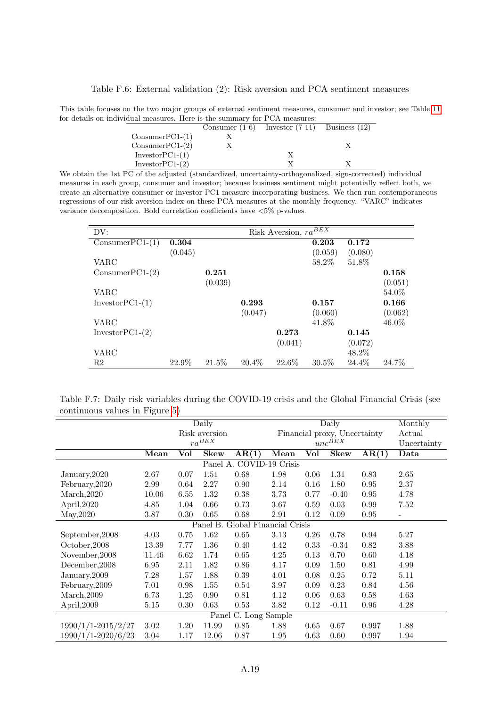Table F.6: External validation (2): Risk aversion and PCA sentiment measures

This table focuses on the two major groups of external sentiment measures, consumer and investor; see Table [11](#page--1-0) for details on individual measures. Here is the summary for PCA measures:

|                   | Consumer $(1-6)$ Investor $(7-11)$ Business $(12)$ |  |
|-------------------|----------------------------------------------------|--|
| $ConsumerPC1-(1)$ |                                                    |  |
| $ConsumerPC1-(2)$ |                                                    |  |
| $InvestorPC1-(1)$ |                                                    |  |
| $InvestorPC1-(2)$ |                                                    |  |

We obtain the 1st PC of the adjusted (standardized, uncertainty-orthogonalized, sign-corrected) individual measures in each group, consumer and investor; because business sentiment might potentially reflect both, we create an alternative consumer or investor PC1 measure incorporating business. We then run contemporaneous regressions of our risk aversion index on these PCA measures at the monthly frequency. "VARC" indicates variance decomposition. Bold correlation coefficients have <5% p-values.

| DV:               |         |         |          | Risk Aversion, $ra^{BEX}$ |          |         |         |
|-------------------|---------|---------|----------|---------------------------|----------|---------|---------|
| $ConsumerPC1-(1)$ | 0.304   |         |          |                           | 0.203    | 0.172   |         |
|                   | (0.045) |         |          |                           | (0.059)  | (0.080) |         |
| <b>VARC</b>       |         |         |          |                           | 58.2%    | 51.8%   |         |
| $ConsumerPC1-(2)$ |         | 0.251   |          |                           |          |         | 0.158   |
|                   |         | (0.039) |          |                           |          |         | (0.051) |
| VARC              |         |         |          |                           |          |         | 54.0%   |
| $InvestorPC1-(1)$ |         |         | 0.293    |                           | 0.157    |         | 0.166   |
|                   |         |         | (0.047)  |                           | (0.060)  |         | (0.062) |
| VARC              |         |         |          |                           | 41.8%    |         | 46.0%   |
| $InvestorPC1-(2)$ |         |         |          | 0.273                     |          | 0.145   |         |
|                   |         |         |          | (0.041)                   |          | (0.072) |         |
| VARC              |         |         |          |                           |          | 48.2%   |         |
| R2                | 22.9%   | 21.5%   | $20.4\%$ | 22.6%                     | $30.5\%$ | 24.4%   | 24.7%   |

Table F.7: Daily risk variables during the COVID-19 crisis and the Global Financial Crisis (see continuous values in Figure [5\)](#page--1-0)

|                                     | Daily |      |                        |                      | Daily           |                              |                      |       | Monthly     |
|-------------------------------------|-------|------|------------------------|----------------------|-----------------|------------------------------|----------------------|-------|-------------|
|                                     |       |      | Risk aversion          |                      |                 | Financial proxy, Uncertainty |                      |       |             |
|                                     |       |      | $ra^{BEX}$             |                      |                 |                              | $\mathit{unc}^{BEX}$ |       | Uncertainty |
|                                     | Mean  | Vol  | <b>Skew</b>            | AR(1)                | Mean            | Vol                          | <b>Skew</b>          | AR(1) | Data        |
|                                     |       |      | Panel $\overline{A}$ . |                      | COVID-19 Crisis |                              |                      |       |             |
| January, 2020                       | 2.67  | 0.07 | 1.51                   | 0.68                 | 1.98            | 0.06                         | 1.31                 | 0.83  | 2.65        |
| February, 2020                      | 2.99  | 0.64 | 2.27                   | 0.90                 | 2.14            | 0.16                         | 1.80                 | 0.95  | 2.37        |
| March, 2020                         | 10.06 | 6.55 | 1.32                   | 0.38                 | 3.73            | 0.77                         | $-0.40$              | 0.95  | 4.78        |
| April, 2020                         | 4.85  | 1.04 | 0.66                   | 0.73                 | 3.67            | 0.59                         | 0.03                 | 0.99  | 7.52        |
| May, 2020                           | 3.87  | 0.30 | 0.65                   | 0.68                 | 2.91            | 0.12                         | 0.09                 | 0.95  |             |
| Global Financial Crisis<br>Panel B. |       |      |                        |                      |                 |                              |                      |       |             |
| September, 2008                     | 4.03  | 0.75 | 1.62                   | $0.65\,$             | 3.13            | 0.26                         | 0.78                 | 0.94  | 5.27        |
| October, 2008                       | 13.39 | 7.77 | 1.36                   | 0.40                 | 4.42            | 0.33                         | $-0.34$              | 0.82  | 3.88        |
| November, 2008                      | 11.46 | 6.62 | 1.74                   | 0.65                 | 4.25            | 0.13                         | 0.70                 | 0.60  | 4.18        |
| December, 2008                      | 6.95  | 2.11 | 1.82                   | 0.86                 | 4.17            | 0.09                         | 1.50                 | 0.81  | 4.99        |
| January, 2009                       | 7.28  | 1.57 | 1.88                   | 0.39                 | 4.01            | 0.08                         | 0.25                 | 0.72  | 5.11        |
| February, 2009                      | 7.01  | 0.98 | 1.55                   | 0.54                 | 3.97            | 0.09                         | 0.23                 | 0.84  | 4.56        |
| March, 2009                         | 6.73  | 1.25 | 0.90                   | 0.81                 | 4.12            | 0.06                         | 0.63                 | 0.58  | 4.63        |
| April, 2009                         | 5.15  | 0.30 | 0.63                   | 0.53                 | 3.82            | 0.12                         | $-0.11$              | 0.96  | 4.28        |
|                                     |       |      |                        | Panel C. Long Sample |                 |                              |                      |       |             |
| $1990/1/1 - 2015/2/27$              | 3.02  | 1.20 | 11.99                  | 0.85                 | 1.88            | 0.65                         | 0.67                 | 0.997 | 1.88        |
| 1990/1/1-2020/6/23                  | 3.04  | 1.17 | 12.06                  | 0.87                 | 1.95            | 0.63                         | 0.60                 | 0.997 | 1.94        |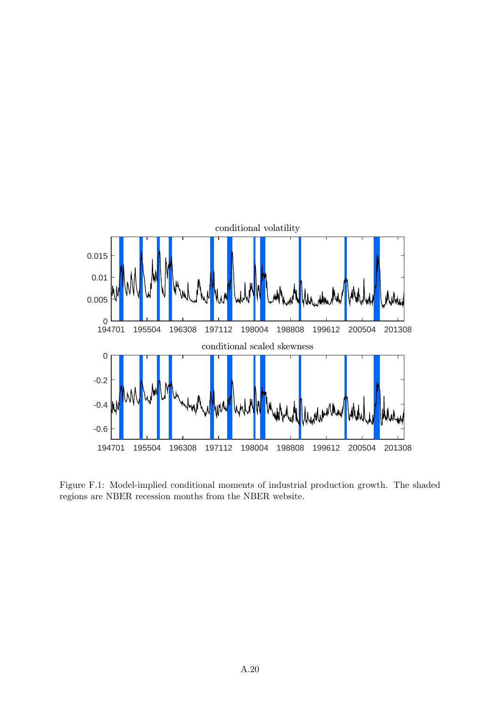

Figure F.1: Model-implied conditional moments of industrial production growth. The shaded regions are NBER recession months from the NBER website.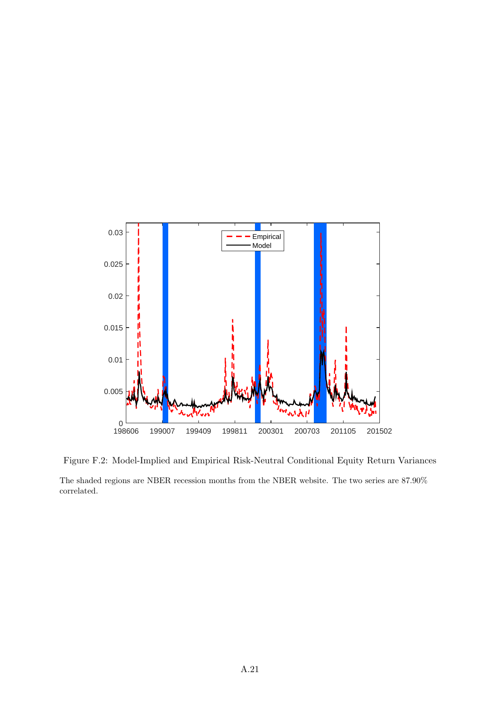

Figure F.2: Model-Implied and Empirical Risk-Neutral Conditional Equity Return Variances

The shaded regions are NBER recession months from the NBER website. The two series are 87.90% correlated.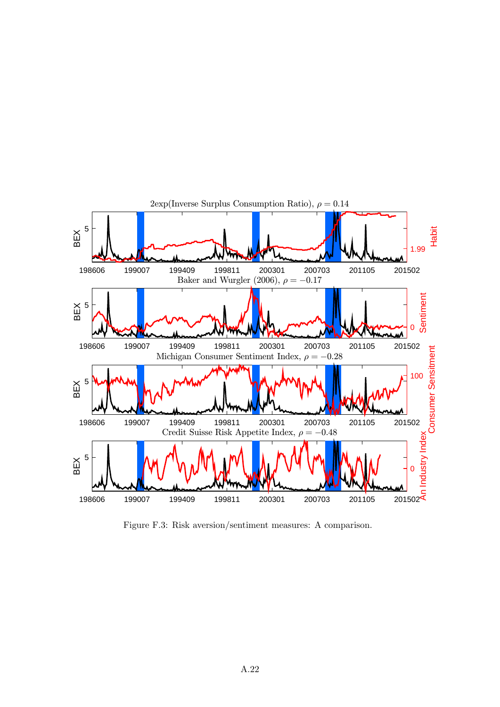

Figure F.3: Risk aversion/sentiment measures: A comparison.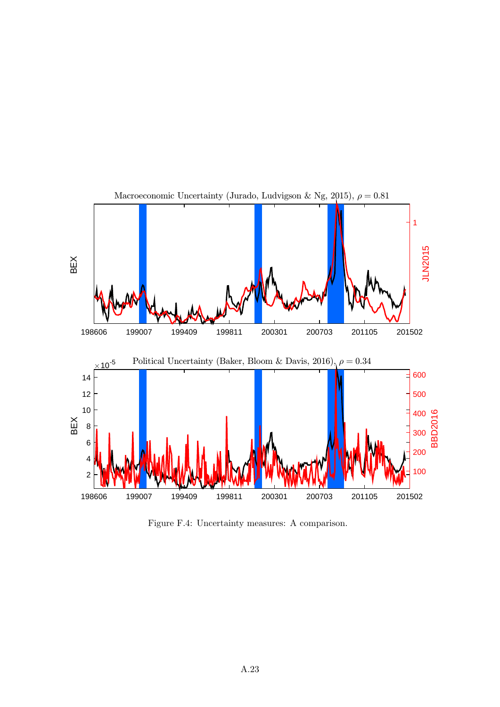

Figure F.4: Uncertainty measures: A comparison.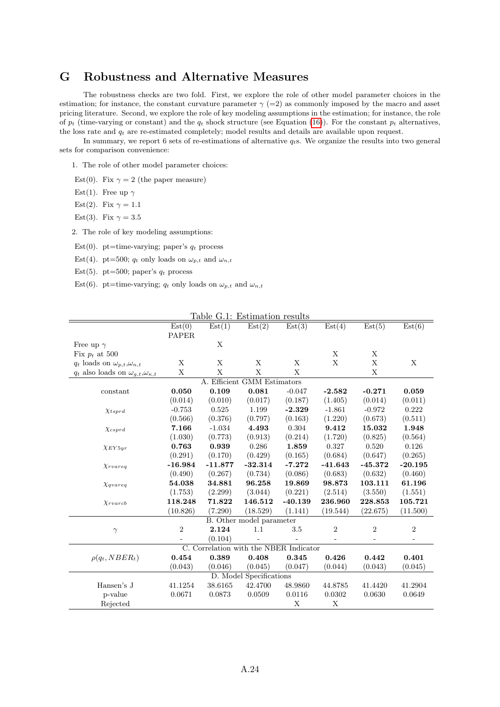### G Robustness and Alternative Measures

The robustness checks are two fold. First, we explore the role of other model parameter choices in the estimation; for instance, the constant curvature parameter  $\gamma$  (=2) as commonly imposed by the macro and asset pricing literature. Second, we explore the role of key modeling assumptions in the estimation; for instance, the role of  $p_t$  (time-varying or constant) and the  $q_t$  shock structure (see Equation [\(16\)](#page--1-0)). For the constant  $p_t$  alternatives, the loss rate and  $q_t$  are re-estimated completely; model results and details are available upon request.

In summary, we report 6 sets of re-estimations of alternative  $q_t$ s. We organize the results into two general sets for comparison convenience:

1. The role of other model parameter choices:

- Est(0). Fix  $\gamma = 2$  (the paper measure)
- Est(1). Free up  $\gamma$
- Est(2). Fix  $\gamma = 1.1$
- Est(3). Fix  $\gamma = 3.5$

2. The role of key modeling assumptions:

- Est(0). pt=time-varying; paper's  $q_t$  process
- Est(4). pt=500;  $q_t$  only loads on  $\omega_{p,t}$  and  $\omega_{n,t}$
- Est(5). pt=500; paper's  $q_t$  process
- Est(6). pt=time-varying;  $q_t$  only loads on  $\omega_{p,t}$  and  $\omega_{n,t}$

|                                                       |            |           | <u>Table G.1: Estimation results</u>   |              |                |                |                |
|-------------------------------------------------------|------------|-----------|----------------------------------------|--------------|----------------|----------------|----------------|
|                                                       | Est(0)     | Est(1)    | Est(2)                                 | Est(3)       | Est(4)         | Est(5)         | Est(6)         |
|                                                       | PAPER      |           |                                        |              |                |                |                |
| Free up $\gamma$                                      |            | X         |                                        |              |                |                |                |
| Fix $p_t$ at 500                                      |            |           |                                        |              | X              | X              |                |
| $q_t$ loads on $\omega_{p,t}, \omega_{n,t}$           | X          | Х         | X                                      | X            | $\mathbf X$    | $\mathbf X$    | X              |
| $q_t$ also loads on $\omega_{g,t}, \omega_{\kappa,t}$ | X          | X         | X                                      | $\mathbf{X}$ |                | X              |                |
|                                                       |            |           | A. Efficient GMM Estimators            |              |                |                |                |
| constant                                              | 0.050      | 0.109     | 0.081                                  | $-0.047$     | $-2.582$       | $-0.271$       | 0.059          |
|                                                       | (0.014)    | (0.010)   | (0.017)                                | (0.187)      | (1.405)        | (0.014)        | (0.011)        |
| $\chi_{tsprd}$                                        | $-0.753$   | 0.525     | 1.199                                  | $-2.329$     | $-1.861$       | $-0.972$       | 0.222          |
|                                                       | (0.566)    | (0.376)   | (0.797)                                | (0.163)      | (1.220)        | (0.673)        | (0.511)        |
| $\chi_{csprd}$                                        | 7.166      | $-1.034$  | 4.493                                  | 0.304        | 9.412          | 15.032         | 1.948          |
|                                                       | (1.030)    | (0.773)   | (0.913)                                | (0.214)      | (1.720)        | (0.825)        | (0.564)        |
| $\chi$ EY5yr                                          | 0.763      | 0.939     | 0.286                                  | 1.859        | 0.327          | 0.520          | 0.126          |
|                                                       | (0.291)    | (0.170)   | (0.429)                                | (0.165)      | (0.684)        | (0.647)        | (0.265)        |
| Xruareq                                               | $-16.984$  | $-11.877$ | $-32.314$                              | $-7.272$     | $-41.643$      | $-45.372$      | $-20.195$      |
|                                                       | (0.490)    | (0.267)   | (0.734)                                | (0.086)      | (0.683)        | (0.632)        | (0.460)        |
| $\chi_{\textit{gvareq}}$                              | 54.038     | 34.881    | 96.258                                 | 19.869       | 98.873         | 103.111        | 61.196         |
|                                                       | (1.753)    | (2.299)   | (3.044)                                | (0.221)      | (2.514)        | (3.550)        | (1.551)        |
| X <sub>rv</sub>                                       | 118.248    | 71.822    | 146.512                                | $-40.139$    | 236.960        | 228.853        | 105.721        |
|                                                       | (10.826)   | (7.290)   | (18.529)                               | (1.141)      | (19.544)       | (22.675)       | (11.500)       |
|                                                       |            |           | <b>B.</b> Other model parameter        |              |                |                |                |
| $\gamma$                                              | $\sqrt{2}$ | 2.124     | 1.1                                    | 3.5          | $\overline{2}$ | $\overline{2}$ | $\overline{2}$ |
|                                                       |            | (0.104)   |                                        |              |                |                |                |
|                                                       |            |           | C. Correlation with the NBER Indicator |              |                |                |                |
| $\rho(q_t, NBER_t)$                                   | 0.454      | 0.389     | 0.408                                  | 0.345        | 0.426          | 0.442          | 0.401          |
|                                                       | (0.043)    | (0.046)   | (0.045)                                | (0.047)      | (0.044)        | (0.043)        | (0.045)        |
|                                                       |            |           | D. Model Specifications                |              |                |                |                |
| Hansen's J                                            | 41.1254    | 38.6165   | 42.4700                                | 48.9860      | 44.8785        | 41.4420        | 41.2904        |
| p-value                                               | 0.0671     | 0.0873    | 0.0509                                 | 0.0116       | 0.0302         | 0.0630         | 0.0649         |
| Rejected                                              |            |           |                                        | X            | X              |                |                |